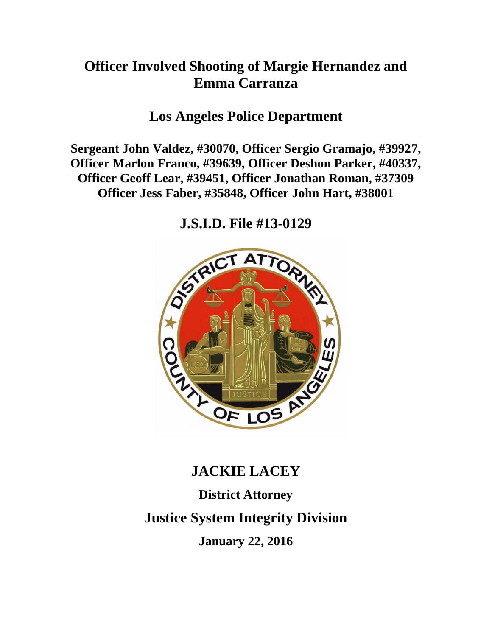# **Officer Involved Shooting of Margie Hernandez and Emma Carranza**

# **Los Angeles Police Department**

**Sergeant John Valdez, #30070, Officer Sergio Gramajo, #39927, Officer Marlon Franco, #39639, Officer Deshon Parker, #40337, Officer Geoff Lear, #39451, Officer Jonathan Roman, #37309 Officer Jess Faber, #35848, Officer John Hart, #38001**



**J.S.I.D. File #13-0129**

# **JACKIE LACEY District Attorney Justice System Integrity Division January 22, 2016**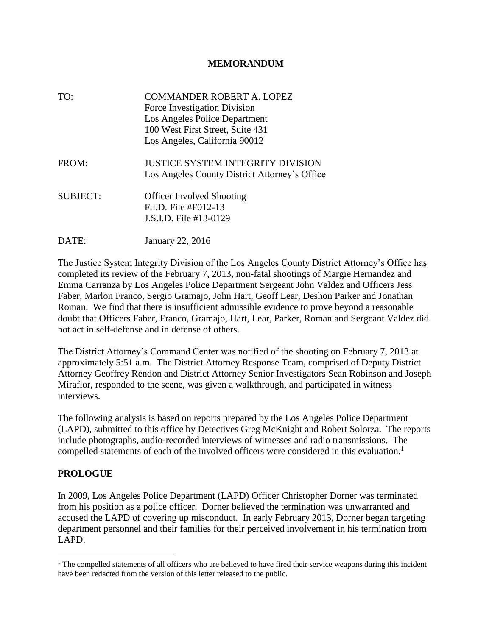#### **MEMORANDUM**

- TO: COMMANDER ROBERT A. LOPEZ Force Investigation Division Los Angeles Police Department 100 West First Street, Suite 431 Los Angeles, California 90012 FROM: **JUSTICE SYSTEM INTEGRITY DIVISION** Los Angeles County District Attorney's Office SUBJECT: Officer Involved Shooting F.I.D. File #F012-13 J.S.I.D. File #13-0129
- DATE: January 22, 2016

The Justice System Integrity Division of the Los Angeles County District Attorney's Office has completed its review of the February 7, 2013, non-fatal shootings of Margie Hernandez and Emma Carranza by Los Angeles Police Department Sergeant John Valdez and Officers Jess Faber, Marlon Franco, Sergio Gramajo, John Hart, Geoff Lear, Deshon Parker and Jonathan Roman. We find that there is insufficient admissible evidence to prove beyond a reasonable doubt that Officers Faber, Franco, Gramajo, Hart, Lear, Parker, Roman and Sergeant Valdez did not act in self-defense and in defense of others.

The District Attorney's Command Center was notified of the shooting on February 7, 2013 at approximately 5:51 a.m. The District Attorney Response Team, comprised of Deputy District Attorney Geoffrey Rendon and District Attorney Senior Investigators Sean Robinson and Joseph Miraflor, responded to the scene, was given a walkthrough, and participated in witness interviews.

The following analysis is based on reports prepared by the Los Angeles Police Department (LAPD), submitted to this office by Detectives Greg McKnight and Robert Solorza. The reports include photographs, audio-recorded interviews of witnesses and radio transmissions. The compelled statements of each of the involved officers were considered in this evaluation.<sup>1</sup>

#### **PROLOGUE**

 $\overline{a}$ 

In 2009, Los Angeles Police Department (LAPD) Officer Christopher Dorner was terminated from his position as a police officer. Dorner believed the termination was unwarranted and accused the LAPD of covering up misconduct. In early February 2013, Dorner began targeting department personnel and their families for their perceived involvement in his termination from LAPD.

 $<sup>1</sup>$  The compelled statements of all officers who are believed to have fired their service weapons during this incident</sup> have been redacted from the version of this letter released to the public.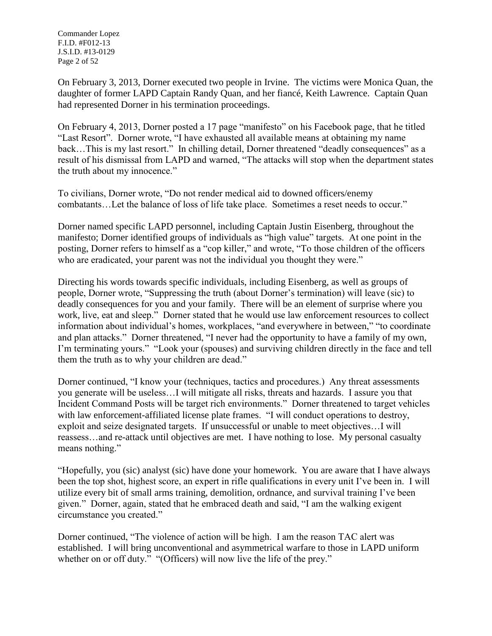Commander Lopez F.I.D. #F012-13 J.S.I.D. #13-0129 Page 2 of 52

On February 3, 2013, Dorner executed two people in Irvine. The victims were Monica Quan, the daughter of former LAPD Captain Randy Quan, and her fiancé, Keith Lawrence. Captain Quan had represented Dorner in his termination proceedings.

On February 4, 2013, Dorner posted a 17 page "manifesto" on his Facebook page, that he titled "Last Resort". Dorner wrote, "I have exhausted all available means at obtaining my name back...This is my last resort." In chilling detail, Dorner threatened "deadly consequences" as a result of his dismissal from LAPD and warned, "The attacks will stop when the department states the truth about my innocence."

To civilians, Dorner wrote, "Do not render medical aid to downed officers/enemy combatants…Let the balance of loss of life take place. Sometimes a reset needs to occur."

Dorner named specific LAPD personnel, including Captain Justin Eisenberg, throughout the manifesto; Dorner identified groups of individuals as "high value" targets. At one point in the posting, Dorner refers to himself as a "cop killer," and wrote, "To those children of the officers who are eradicated, your parent was not the individual you thought they were."

Directing his words towards specific individuals, including Eisenberg, as well as groups of people, Dorner wrote, "Suppressing the truth (about Dorner's termination) will leave (sic) to deadly consequences for you and your family. There will be an element of surprise where you work, live, eat and sleep." Dorner stated that he would use law enforcement resources to collect information about individual's homes, workplaces, "and everywhere in between," "to coordinate and plan attacks." Dorner threatened, "I never had the opportunity to have a family of my own, I'm terminating yours." "Look your (spouses) and surviving children directly in the face and tell them the truth as to why your children are dead."

Dorner continued, "I know your (techniques, tactics and procedures.) Any threat assessments you generate will be useless…I will mitigate all risks, threats and hazards. I assure you that Incident Command Posts will be target rich environments." Dorner threatened to target vehicles with law enforcement-affiliated license plate frames. "I will conduct operations to destroy, exploit and seize designated targets. If unsuccessful or unable to meet objectives…I will reassess…and re-attack until objectives are met. I have nothing to lose. My personal casualty means nothing."

"Hopefully, you (sic) analyst (sic) have done your homework. You are aware that I have always been the top shot, highest score, an expert in rifle qualifications in every unit I've been in. I will utilize every bit of small arms training, demolition, ordnance, and survival training I've been given." Dorner, again, stated that he embraced death and said, "I am the walking exigent circumstance you created."

Dorner continued, "The violence of action will be high. I am the reason TAC alert was established. I will bring unconventional and asymmetrical warfare to those in LAPD uniform whether on or off duty." "(Officers) will now live the life of the prey."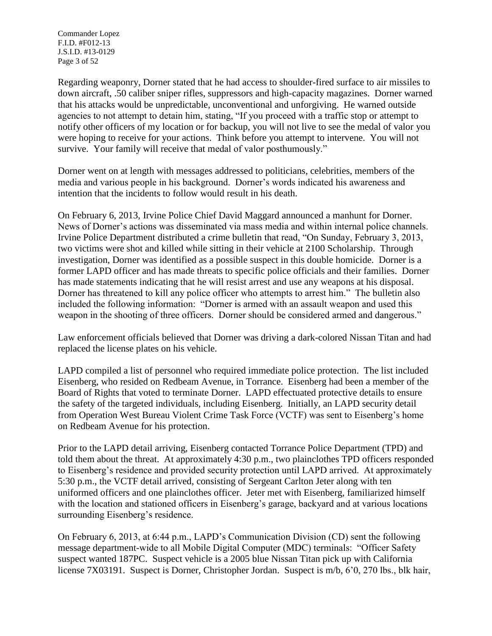Commander Lopez F.I.D. #F012-13 J.S.I.D. #13-0129 Page 3 of 52

Regarding weaponry, Dorner stated that he had access to shoulder-fired surface to air missiles to down aircraft, .50 caliber sniper rifles, suppressors and high-capacity magazines. Dorner warned that his attacks would be unpredictable, unconventional and unforgiving. He warned outside agencies to not attempt to detain him, stating, "If you proceed with a traffic stop or attempt to notify other officers of my location or for backup, you will not live to see the medal of valor you were hoping to receive for your actions. Think before you attempt to intervene. You will not survive. Your family will receive that medal of valor posthumously."

Dorner went on at length with messages addressed to politicians, celebrities, members of the media and various people in his background. Dorner's words indicated his awareness and intention that the incidents to follow would result in his death.

On February 6, 2013, Irvine Police Chief David Maggard announced a manhunt for Dorner. News of Dorner's actions was disseminated via mass media and within internal police channels. Irvine Police Department distributed a crime bulletin that read, "On Sunday, February 3, 2013, two victims were shot and killed while sitting in their vehicle at 2100 Scholarship. Through investigation, Dorner was identified as a possible suspect in this double homicide. Dorner is a former LAPD officer and has made threats to specific police officials and their families. Dorner has made statements indicating that he will resist arrest and use any weapons at his disposal. Dorner has threatened to kill any police officer who attempts to arrest him." The bulletin also included the following information: "Dorner is armed with an assault weapon and used this weapon in the shooting of three officers. Dorner should be considered armed and dangerous."

Law enforcement officials believed that Dorner was driving a dark-colored Nissan Titan and had replaced the license plates on his vehicle.

LAPD compiled a list of personnel who required immediate police protection. The list included Eisenberg, who resided on Redbeam Avenue, in Torrance. Eisenberg had been a member of the Board of Rights that voted to terminate Dorner. LAPD effectuated protective details to ensure the safety of the targeted individuals, including Eisenberg. Initially, an LAPD security detail from Operation West Bureau Violent Crime Task Force (VCTF) was sent to Eisenberg's home on Redbeam Avenue for his protection.

Prior to the LAPD detail arriving, Eisenberg contacted Torrance Police Department (TPD) and told them about the threat. At approximately 4:30 p.m., two plainclothes TPD officers responded to Eisenberg's residence and provided security protection until LAPD arrived. At approximately 5:30 p.m., the VCTF detail arrived, consisting of Sergeant Carlton Jeter along with ten uniformed officers and one plainclothes officer. Jeter met with Eisenberg, familiarized himself with the location and stationed officers in Eisenberg's garage, backyard and at various locations surrounding Eisenberg's residence.

On February 6, 2013, at 6:44 p.m., LAPD's Communication Division (CD) sent the following message department-wide to all Mobile Digital Computer (MDC) terminals: "Officer Safety suspect wanted 187PC. Suspect vehicle is a 2005 blue Nissan Titan pick up with California license 7X03191. Suspect is Dorner, Christopher Jordan. Suspect is m/b, 6'0, 270 lbs., blk hair,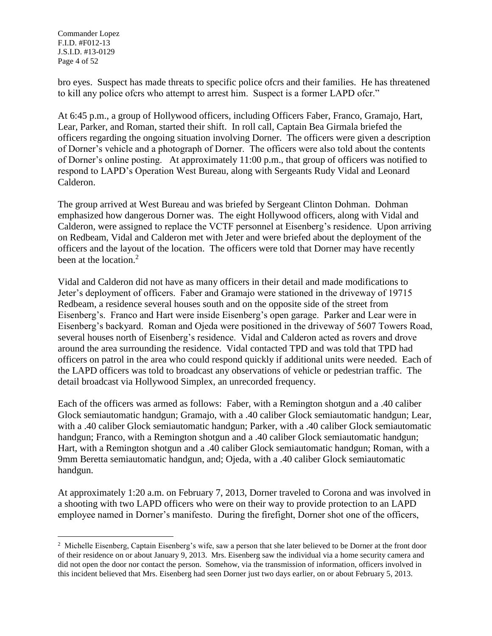Commander Lopez F.I.D. #F012-13 J.S.I.D. #13-0129 Page 4 of 52

 $\overline{a}$ 

bro eyes. Suspect has made threats to specific police ofcrs and their families. He has threatened to kill any police ofcrs who attempt to arrest him. Suspect is a former LAPD ofcr."

At 6:45 p.m., a group of Hollywood officers, including Officers Faber, Franco, Gramajo, Hart, Lear, Parker, and Roman, started their shift. In roll call, Captain Bea Girmala briefed the officers regarding the ongoing situation involving Dorner. The officers were given a description of Dorner's vehicle and a photograph of Dorner. The officers were also told about the contents of Dorner's online posting. At approximately 11:00 p.m., that group of officers was notified to respond to LAPD's Operation West Bureau, along with Sergeants Rudy Vidal and Leonard Calderon.

The group arrived at West Bureau and was briefed by Sergeant Clinton Dohman. Dohman emphasized how dangerous Dorner was. The eight Hollywood officers, along with Vidal and Calderon, were assigned to replace the VCTF personnel at Eisenberg's residence. Upon arriving on Redbeam, Vidal and Calderon met with Jeter and were briefed about the deployment of the officers and the layout of the location. The officers were told that Dorner may have recently been at the location.<sup>2</sup>

Vidal and Calderon did not have as many officers in their detail and made modifications to Jeter's deployment of officers. Faber and Gramajo were stationed in the driveway of 19715 Redbeam, a residence several houses south and on the opposite side of the street from Eisenberg's. Franco and Hart were inside Eisenberg's open garage. Parker and Lear were in Eisenberg's backyard. Roman and Ojeda were positioned in the driveway of 5607 Towers Road, several houses north of Eisenberg's residence. Vidal and Calderon acted as rovers and drove around the area surrounding the residence. Vidal contacted TPD and was told that TPD had officers on patrol in the area who could respond quickly if additional units were needed. Each of the LAPD officers was told to broadcast any observations of vehicle or pedestrian traffic. The detail broadcast via Hollywood Simplex, an unrecorded frequency.

Each of the officers was armed as follows: Faber, with a Remington shotgun and a .40 caliber Glock semiautomatic handgun; Gramajo, with a .40 caliber Glock semiautomatic handgun; Lear, with a .40 caliber Glock semiautomatic handgun; Parker, with a .40 caliber Glock semiautomatic handgun; Franco, with a Remington shotgun and a .40 caliber Glock semiautomatic handgun; Hart, with a Remington shotgun and a .40 caliber Glock semiautomatic handgun; Roman, with a 9mm Beretta semiautomatic handgun, and; Ojeda, with a .40 caliber Glock semiautomatic handgun.

At approximately 1:20 a.m. on February 7, 2013, Dorner traveled to Corona and was involved in a shooting with two LAPD officers who were on their way to provide protection to an LAPD employee named in Dorner's manifesto. During the firefight, Dorner shot one of the officers,

<sup>&</sup>lt;sup>2</sup> Michelle Eisenberg, Captain Eisenberg's wife, saw a person that she later believed to be Dorner at the front door of their residence on or about January 9, 2013. Mrs. Eisenberg saw the individual via a home security camera and did not open the door nor contact the person. Somehow, via the transmission of information, officers involved in this incident believed that Mrs. Eisenberg had seen Dorner just two days earlier, on or about February 5, 2013.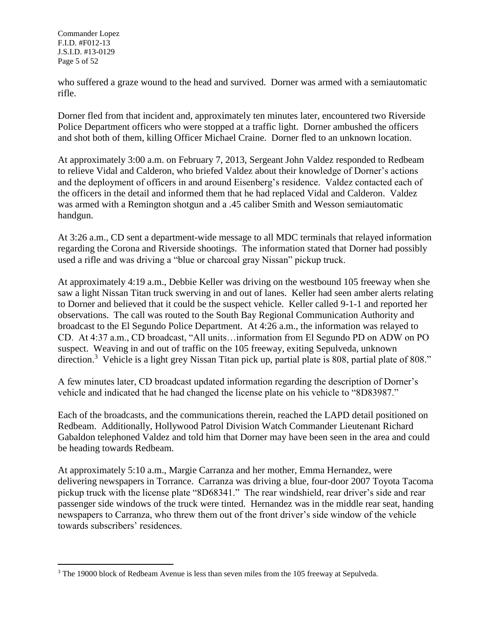Commander Lopez F.I.D. #F012-13 J.S.I.D. #13-0129 Page 5 of 52

 $\overline{a}$ 

who suffered a graze wound to the head and survived. Dorner was armed with a semiautomatic rifle.

Dorner fled from that incident and, approximately ten minutes later, encountered two Riverside Police Department officers who were stopped at a traffic light. Dorner ambushed the officers and shot both of them, killing Officer Michael Craine. Dorner fled to an unknown location.

At approximately 3:00 a.m. on February 7, 2013, Sergeant John Valdez responded to Redbeam to relieve Vidal and Calderon, who briefed Valdez about their knowledge of Dorner's actions and the deployment of officers in and around Eisenberg's residence. Valdez contacted each of the officers in the detail and informed them that he had replaced Vidal and Calderon. Valdez was armed with a Remington shotgun and a .45 caliber Smith and Wesson semiautomatic handgun.

At 3:26 a.m., CD sent a department-wide message to all MDC terminals that relayed information regarding the Corona and Riverside shootings. The information stated that Dorner had possibly used a rifle and was driving a "blue or charcoal gray Nissan" pickup truck.

At approximately 4:19 a.m., Debbie Keller was driving on the westbound 105 freeway when she saw a light Nissan Titan truck swerving in and out of lanes. Keller had seen amber alerts relating to Dorner and believed that it could be the suspect vehicle. Keller called 9-1-1 and reported her observations. The call was routed to the South Bay Regional Communication Authority and broadcast to the El Segundo Police Department. At 4:26 a.m., the information was relayed to CD. At 4:37 a.m., CD broadcast, "All units…information from El Segundo PD on ADW on PO suspect. Weaving in and out of traffic on the 105 freeway, exiting Sepulveda, unknown direction.<sup>3</sup> Vehicle is a light grey Nissan Titan pick up, partial plate is 808, partial plate of 808."

A few minutes later, CD broadcast updated information regarding the description of Dorner's vehicle and indicated that he had changed the license plate on his vehicle to "8D83987."

Each of the broadcasts, and the communications therein, reached the LAPD detail positioned on Redbeam. Additionally, Hollywood Patrol Division Watch Commander Lieutenant Richard Gabaldon telephoned Valdez and told him that Dorner may have been seen in the area and could be heading towards Redbeam.

At approximately 5:10 a.m., Margie Carranza and her mother, Emma Hernandez, were delivering newspapers in Torrance. Carranza was driving a blue, four-door 2007 Toyota Tacoma pickup truck with the license plate "8D68341." The rear windshield, rear driver's side and rear passenger side windows of the truck were tinted. Hernandez was in the middle rear seat, handing newspapers to Carranza, who threw them out of the front driver's side window of the vehicle towards subscribers' residences.

<sup>&</sup>lt;sup>3</sup> The 19000 block of Redbeam Avenue is less than seven miles from the 105 freeway at Sepulveda.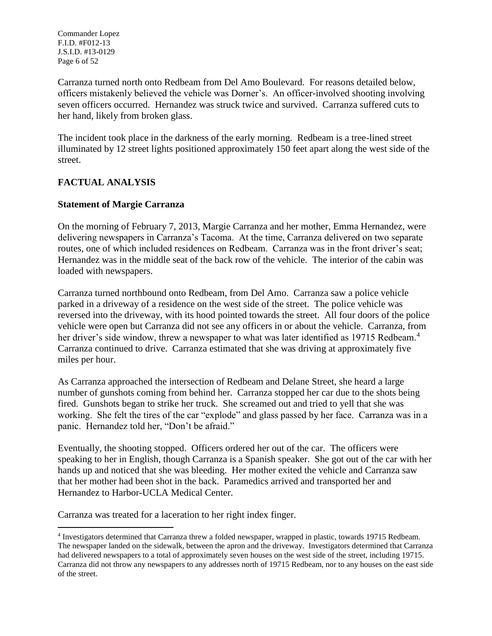Commander Lopez F.I.D. #F012-13 J.S.I.D. #13-0129 Page 6 of 52

Carranza turned north onto Redbeam from Del Amo Boulevard. For reasons detailed below, officers mistakenly believed the vehicle was Dorner's. An officer-involved shooting involving seven officers occurred. Hernandez was struck twice and survived. Carranza suffered cuts to her hand, likely from broken glass.

The incident took place in the darkness of the early morning. Redbeam is a tree-lined street illuminated by 12 street lights positioned approximately 150 feet apart along the west side of the street.

## **FACTUAL ANALYSIS**

 $\overline{a}$ 

## **Statement of Margie Carranza**

On the morning of February 7, 2013, Margie Carranza and her mother, Emma Hernandez, were delivering newspapers in Carranza's Tacoma. At the time, Carranza delivered on two separate routes, one of which included residences on Redbeam. Carranza was in the front driver's seat; Hernandez was in the middle seat of the back row of the vehicle. The interior of the cabin was loaded with newspapers.

Carranza turned northbound onto Redbeam, from Del Amo. Carranza saw a police vehicle parked in a driveway of a residence on the west side of the street. The police vehicle was reversed into the driveway, with its hood pointed towards the street. All four doors of the police vehicle were open but Carranza did not see any officers in or about the vehicle. Carranza, from her driver's side window, threw a newspaper to what was later identified as 19715 Redbeam.<sup>4</sup> Carranza continued to drive. Carranza estimated that she was driving at approximately five miles per hour.

As Carranza approached the intersection of Redbeam and Delane Street, she heard a large number of gunshots coming from behind her. Carranza stopped her car due to the shots being fired. Gunshots began to strike her truck. She screamed out and tried to yell that she was working. She felt the tires of the car "explode" and glass passed by her face. Carranza was in a panic. Hernandez told her, "Don't be afraid."

Eventually, the shooting stopped. Officers ordered her out of the car. The officers were speaking to her in English, though Carranza is a Spanish speaker. She got out of the car with her hands up and noticed that she was bleeding. Her mother exited the vehicle and Carranza saw that her mother had been shot in the back. Paramedics arrived and transported her and Hernandez to Harbor-UCLA Medical Center.

Carranza was treated for a laceration to her right index finger.

<sup>&</sup>lt;sup>4</sup> Investigators determined that Carranza threw a folded newspaper, wrapped in plastic, towards 19715 Redbeam. The newspaper landed on the sidewalk, between the apron and the driveway. Investigators determined that Carranza had delivered newspapers to a total of approximately seven houses on the west side of the street, including 19715. Carranza did not throw any newspapers to any addresses north of 19715 Redbeam, nor to any houses on the east side of the street.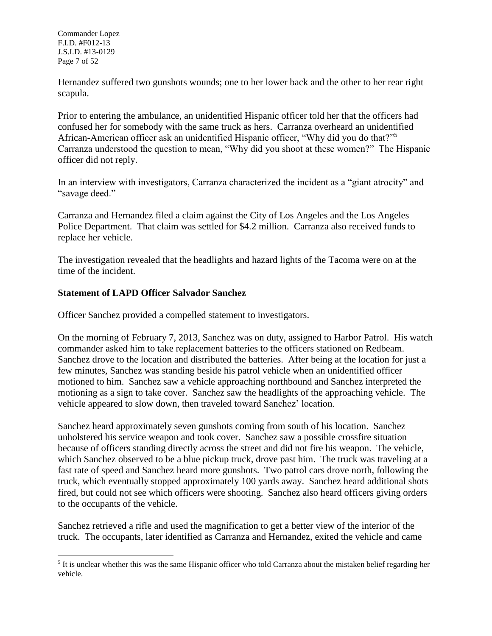Commander Lopez F.I.D. #F012-13 J.S.I.D. #13-0129 Page 7 of 52

 $\overline{a}$ 

Hernandez suffered two gunshots wounds; one to her lower back and the other to her rear right scapula.

Prior to entering the ambulance, an unidentified Hispanic officer told her that the officers had confused her for somebody with the same truck as hers. Carranza overheard an unidentified African-American officer ask an unidentified Hispanic officer, "Why did you do that?"<sup>5</sup> Carranza understood the question to mean, "Why did you shoot at these women?" The Hispanic officer did not reply.

In an interview with investigators, Carranza characterized the incident as a "giant atrocity" and "savage deed."

Carranza and Hernandez filed a claim against the City of Los Angeles and the Los Angeles Police Department. That claim was settled for \$4.2 million. Carranza also received funds to replace her vehicle.

The investigation revealed that the headlights and hazard lights of the Tacoma were on at the time of the incident.

#### **Statement of LAPD Officer Salvador Sanchez**

Officer Sanchez provided a compelled statement to investigators.

On the morning of February 7, 2013, Sanchez was on duty, assigned to Harbor Patrol. His watch commander asked him to take replacement batteries to the officers stationed on Redbeam. Sanchez drove to the location and distributed the batteries. After being at the location for just a few minutes, Sanchez was standing beside his patrol vehicle when an unidentified officer motioned to him. Sanchez saw a vehicle approaching northbound and Sanchez interpreted the motioning as a sign to take cover. Sanchez saw the headlights of the approaching vehicle. The vehicle appeared to slow down, then traveled toward Sanchez' location.

Sanchez heard approximately seven gunshots coming from south of his location. Sanchez unholstered his service weapon and took cover. Sanchez saw a possible crossfire situation because of officers standing directly across the street and did not fire his weapon. The vehicle, which Sanchez observed to be a blue pickup truck, drove past him. The truck was traveling at a fast rate of speed and Sanchez heard more gunshots. Two patrol cars drove north, following the truck, which eventually stopped approximately 100 yards away. Sanchez heard additional shots fired, but could not see which officers were shooting. Sanchez also heard officers giving orders to the occupants of the vehicle.

Sanchez retrieved a rifle and used the magnification to get a better view of the interior of the truck. The occupants, later identified as Carranza and Hernandez, exited the vehicle and came

<sup>&</sup>lt;sup>5</sup> It is unclear whether this was the same Hispanic officer who told Carranza about the mistaken belief regarding her vehicle.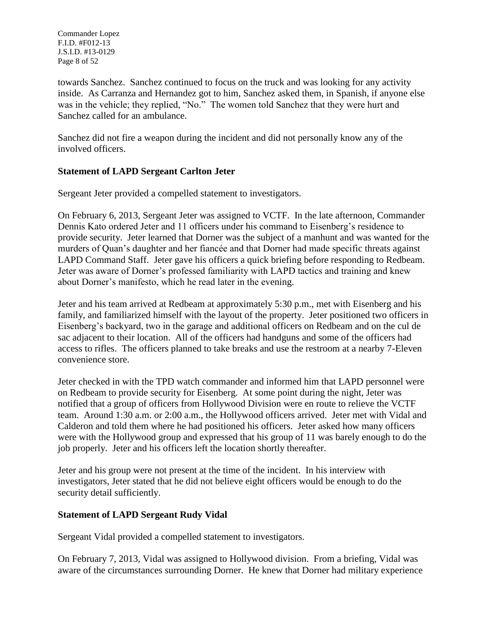Commander Lopez F.I.D. #F012-13 J.S.I.D. #13-0129 Page 8 of 52

towards Sanchez. Sanchez continued to focus on the truck and was looking for any activity inside. As Carranza and Hernandez got to him, Sanchez asked them, in Spanish, if anyone else was in the vehicle; they replied, "No." The women told Sanchez that they were hurt and Sanchez called for an ambulance.

Sanchez did not fire a weapon during the incident and did not personally know any of the involved officers.

## **Statement of LAPD Sergeant Carlton Jeter**

Sergeant Jeter provided a compelled statement to investigators.

On February 6, 2013, Sergeant Jeter was assigned to VCTF. In the late afternoon, Commander Dennis Kato ordered Jeter and 11 officers under his command to Eisenberg's residence to provide security. Jeter learned that Dorner was the subject of a manhunt and was wanted for the murders of Quan's daughter and her fiancée and that Dorner had made specific threats against LAPD Command Staff. Jeter gave his officers a quick briefing before responding to Redbeam. Jeter was aware of Dorner's professed familiarity with LAPD tactics and training and knew about Dorner's manifesto, which he read later in the evening.

Jeter and his team arrived at Redbeam at approximately 5:30 p.m., met with Eisenberg and his family, and familiarized himself with the layout of the property. Jeter positioned two officers in Eisenberg's backyard, two in the garage and additional officers on Redbeam and on the cul de sac adjacent to their location. All of the officers had handguns and some of the officers had access to rifles. The officers planned to take breaks and use the restroom at a nearby 7-Eleven convenience store.

Jeter checked in with the TPD watch commander and informed him that LAPD personnel were on Redbeam to provide security for Eisenberg. At some point during the night, Jeter was notified that a group of officers from Hollywood Division were en route to relieve the VCTF team. Around 1:30 a.m. or 2:00 a.m., the Hollywood officers arrived. Jeter met with Vidal and Calderon and told them where he had positioned his officers. Jeter asked how many officers were with the Hollywood group and expressed that his group of 11 was barely enough to do the job properly. Jeter and his officers left the location shortly thereafter.

Jeter and his group were not present at the time of the incident. In his interview with investigators, Jeter stated that he did not believe eight officers would be enough to do the security detail sufficiently.

## **Statement of LAPD Sergeant Rudy Vidal**

Sergeant Vidal provided a compelled statement to investigators.

On February 7, 2013, Vidal was assigned to Hollywood division. From a briefing, Vidal was aware of the circumstances surrounding Dorner. He knew that Dorner had military experience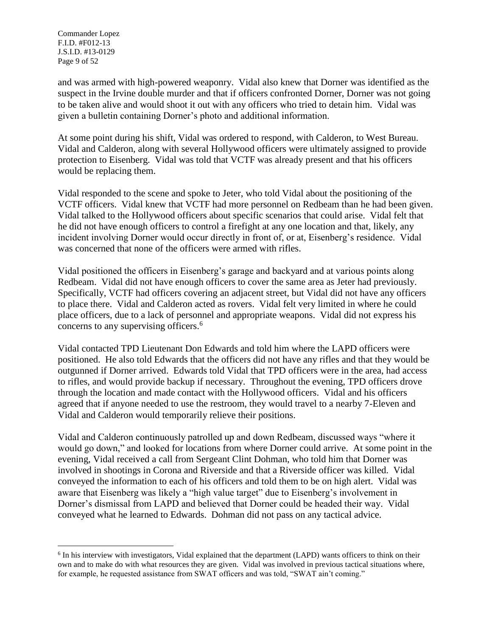Commander Lopez F.I.D. #F012-13 J.S.I.D. #13-0129 Page 9 of 52

 $\overline{a}$ 

and was armed with high-powered weaponry. Vidal also knew that Dorner was identified as the suspect in the Irvine double murder and that if officers confronted Dorner, Dorner was not going to be taken alive and would shoot it out with any officers who tried to detain him. Vidal was given a bulletin containing Dorner's photo and additional information.

At some point during his shift, Vidal was ordered to respond, with Calderon, to West Bureau. Vidal and Calderon, along with several Hollywood officers were ultimately assigned to provide protection to Eisenberg. Vidal was told that VCTF was already present and that his officers would be replacing them.

Vidal responded to the scene and spoke to Jeter, who told Vidal about the positioning of the VCTF officers. Vidal knew that VCTF had more personnel on Redbeam than he had been given. Vidal talked to the Hollywood officers about specific scenarios that could arise. Vidal felt that he did not have enough officers to control a firefight at any one location and that, likely, any incident involving Dorner would occur directly in front of, or at, Eisenberg's residence. Vidal was concerned that none of the officers were armed with rifles.

Vidal positioned the officers in Eisenberg's garage and backyard and at various points along Redbeam. Vidal did not have enough officers to cover the same area as Jeter had previously. Specifically, VCTF had officers covering an adjacent street, but Vidal did not have any officers to place there. Vidal and Calderon acted as rovers. Vidal felt very limited in where he could place officers, due to a lack of personnel and appropriate weapons. Vidal did not express his concerns to any supervising officers.<sup>6</sup>

Vidal contacted TPD Lieutenant Don Edwards and told him where the LAPD officers were positioned. He also told Edwards that the officers did not have any rifles and that they would be outgunned if Dorner arrived. Edwards told Vidal that TPD officers were in the area, had access to rifles, and would provide backup if necessary. Throughout the evening, TPD officers drove through the location and made contact with the Hollywood officers. Vidal and his officers agreed that if anyone needed to use the restroom, they would travel to a nearby 7-Eleven and Vidal and Calderon would temporarily relieve their positions.

Vidal and Calderon continuously patrolled up and down Redbeam, discussed ways "where it would go down," and looked for locations from where Dorner could arrive. At some point in the evening, Vidal received a call from Sergeant Clint Dohman, who told him that Dorner was involved in shootings in Corona and Riverside and that a Riverside officer was killed. Vidal conveyed the information to each of his officers and told them to be on high alert. Vidal was aware that Eisenberg was likely a "high value target" due to Eisenberg's involvement in Dorner's dismissal from LAPD and believed that Dorner could be headed their way. Vidal conveyed what he learned to Edwards. Dohman did not pass on any tactical advice.

<sup>&</sup>lt;sup>6</sup> In his interview with investigators, Vidal explained that the department (LAPD) wants officers to think on their own and to make do with what resources they are given. Vidal was involved in previous tactical situations where, for example, he requested assistance from SWAT officers and was told, "SWAT ain't coming."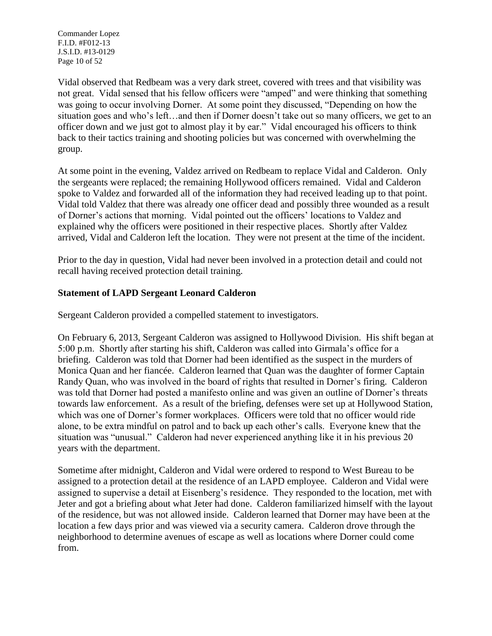Commander Lopez F.I.D. #F012-13 J.S.I.D. #13-0129 Page 10 of 52

Vidal observed that Redbeam was a very dark street, covered with trees and that visibility was not great. Vidal sensed that his fellow officers were "amped" and were thinking that something was going to occur involving Dorner. At some point they discussed, "Depending on how the situation goes and who's left…and then if Dorner doesn't take out so many officers, we get to an officer down and we just got to almost play it by ear." Vidal encouraged his officers to think back to their tactics training and shooting policies but was concerned with overwhelming the group.

At some point in the evening, Valdez arrived on Redbeam to replace Vidal and Calderon. Only the sergeants were replaced; the remaining Hollywood officers remained. Vidal and Calderon spoke to Valdez and forwarded all of the information they had received leading up to that point. Vidal told Valdez that there was already one officer dead and possibly three wounded as a result of Dorner's actions that morning. Vidal pointed out the officers' locations to Valdez and explained why the officers were positioned in their respective places. Shortly after Valdez arrived, Vidal and Calderon left the location. They were not present at the time of the incident.

Prior to the day in question, Vidal had never been involved in a protection detail and could not recall having received protection detail training.

#### **Statement of LAPD Sergeant Leonard Calderon**

Sergeant Calderon provided a compelled statement to investigators.

On February 6, 2013, Sergeant Calderon was assigned to Hollywood Division. His shift began at 5:00 p.m. Shortly after starting his shift, Calderon was called into Girmala's office for a briefing. Calderon was told that Dorner had been identified as the suspect in the murders of Monica Quan and her fiancée. Calderon learned that Quan was the daughter of former Captain Randy Quan, who was involved in the board of rights that resulted in Dorner's firing. Calderon was told that Dorner had posted a manifesto online and was given an outline of Dorner's threats towards law enforcement. As a result of the briefing, defenses were set up at Hollywood Station, which was one of Dorner's former workplaces. Officers were told that no officer would ride alone, to be extra mindful on patrol and to back up each other's calls. Everyone knew that the situation was "unusual." Calderon had never experienced anything like it in his previous 20 years with the department.

Sometime after midnight, Calderon and Vidal were ordered to respond to West Bureau to be assigned to a protection detail at the residence of an LAPD employee. Calderon and Vidal were assigned to supervise a detail at Eisenberg's residence. They responded to the location, met with Jeter and got a briefing about what Jeter had done. Calderon familiarized himself with the layout of the residence, but was not allowed inside. Calderon learned that Dorner may have been at the location a few days prior and was viewed via a security camera. Calderon drove through the neighborhood to determine avenues of escape as well as locations where Dorner could come from.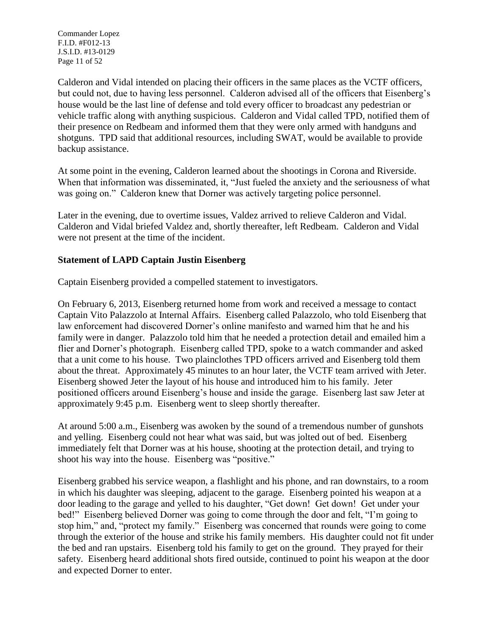Commander Lopez F.I.D. #F012-13 J.S.I.D. #13-0129 Page 11 of 52

Calderon and Vidal intended on placing their officers in the same places as the VCTF officers, but could not, due to having less personnel. Calderon advised all of the officers that Eisenberg's house would be the last line of defense and told every officer to broadcast any pedestrian or vehicle traffic along with anything suspicious. Calderon and Vidal called TPD, notified them of their presence on Redbeam and informed them that they were only armed with handguns and shotguns. TPD said that additional resources, including SWAT, would be available to provide backup assistance.

At some point in the evening, Calderon learned about the shootings in Corona and Riverside. When that information was disseminated, it, "Just fueled the anxiety and the seriousness of what was going on." Calderon knew that Dorner was actively targeting police personnel.

Later in the evening, due to overtime issues, Valdez arrived to relieve Calderon and Vidal. Calderon and Vidal briefed Valdez and, shortly thereafter, left Redbeam. Calderon and Vidal were not present at the time of the incident.

#### **Statement of LAPD Captain Justin Eisenberg**

Captain Eisenberg provided a compelled statement to investigators.

On February 6, 2013, Eisenberg returned home from work and received a message to contact Captain Vito Palazzolo at Internal Affairs. Eisenberg called Palazzolo, who told Eisenberg that law enforcement had discovered Dorner's online manifesto and warned him that he and his family were in danger. Palazzolo told him that he needed a protection detail and emailed him a flier and Dorner's photograph. Eisenberg called TPD, spoke to a watch commander and asked that a unit come to his house. Two plainclothes TPD officers arrived and Eisenberg told them about the threat. Approximately 45 minutes to an hour later, the VCTF team arrived with Jeter. Eisenberg showed Jeter the layout of his house and introduced him to his family. Jeter positioned officers around Eisenberg's house and inside the garage. Eisenberg last saw Jeter at approximately 9:45 p.m. Eisenberg went to sleep shortly thereafter.

At around 5:00 a.m., Eisenberg was awoken by the sound of a tremendous number of gunshots and yelling. Eisenberg could not hear what was said, but was jolted out of bed. Eisenberg immediately felt that Dorner was at his house, shooting at the protection detail, and trying to shoot his way into the house. Eisenberg was "positive."

Eisenberg grabbed his service weapon, a flashlight and his phone, and ran downstairs, to a room in which his daughter was sleeping, adjacent to the garage. Eisenberg pointed his weapon at a door leading to the garage and yelled to his daughter, "Get down! Get down! Get under your bed!" Eisenberg believed Dorner was going to come through the door and felt, "I'm going to stop him," and, "protect my family." Eisenberg was concerned that rounds were going to come through the exterior of the house and strike his family members. His daughter could not fit under the bed and ran upstairs. Eisenberg told his family to get on the ground. They prayed for their safety. Eisenberg heard additional shots fired outside, continued to point his weapon at the door and expected Dorner to enter.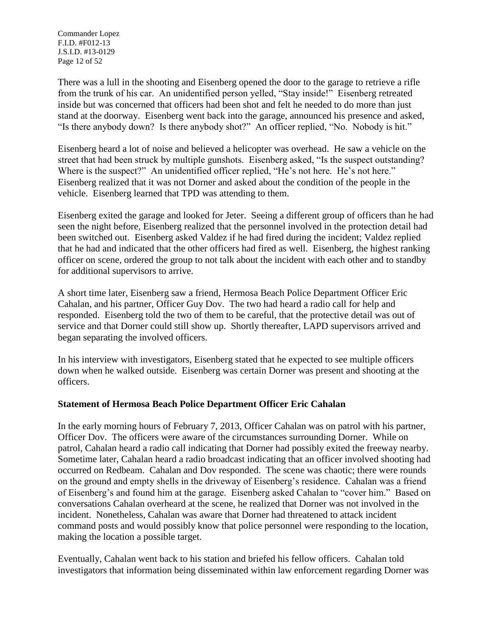Commander Lopez F.I.D. #F012-13 J.S.I.D. #13-0129 Page 12 of 52

There was a lull in the shooting and Eisenberg opened the door to the garage to retrieve a rifle from the trunk of his car. An unidentified person yelled, "Stay inside!" Eisenberg retreated inside but was concerned that officers had been shot and felt he needed to do more than just stand at the doorway. Eisenberg went back into the garage, announced his presence and asked, "Is there anybody down? Is there anybody shot?" An officer replied, "No. Nobody is hit."

Eisenberg heard a lot of noise and believed a helicopter was overhead. He saw a vehicle on the street that had been struck by multiple gunshots. Eisenberg asked, "Is the suspect outstanding? Where is the suspect?" An unidentified officer replied, "He's not here. He's not here." Eisenberg realized that it was not Dorner and asked about the condition of the people in the vehicle. Eisenberg learned that TPD was attending to them.

Eisenberg exited the garage and looked for Jeter. Seeing a different group of officers than he had seen the night before, Eisenberg realized that the personnel involved in the protection detail had been switched out. Eisenberg asked Valdez if he had fired during the incident; Valdez replied that he had and indicated that the other officers had fired as well. Eisenberg, the highest ranking officer on scene, ordered the group to not talk about the incident with each other and to standby for additional supervisors to arrive.

A short time later, Eisenberg saw a friend, Hermosa Beach Police Department Officer Eric Cahalan, and his partner, Officer Guy Dov. The two had heard a radio call for help and responded. Eisenberg told the two of them to be careful, that the protective detail was out of service and that Dorner could still show up. Shortly thereafter, LAPD supervisors arrived and began separating the involved officers.

In his interview with investigators, Eisenberg stated that he expected to see multiple officers down when he walked outside. Eisenberg was certain Dorner was present and shooting at the officers.

## **Statement of Hermosa Beach Police Department Officer Eric Cahalan**

In the early morning hours of February 7, 2013, Officer Cahalan was on patrol with his partner, Officer Dov. The officers were aware of the circumstances surrounding Dorner. While on patrol, Cahalan heard a radio call indicating that Dorner had possibly exited the freeway nearby. Sometime later, Cahalan heard a radio broadcast indicating that an officer involved shooting had occurred on Redbeam. Cahalan and Dov responded. The scene was chaotic; there were rounds on the ground and empty shells in the driveway of Eisenberg's residence. Cahalan was a friend of Eisenberg's and found him at the garage. Eisenberg asked Cahalan to "cover him." Based on conversations Cahalan overheard at the scene, he realized that Dorner was not involved in the incident. Nonetheless, Cahalan was aware that Dorner had threatened to attack incident command posts and would possibly know that police personnel were responding to the location, making the location a possible target.

Eventually, Cahalan went back to his station and briefed his fellow officers. Cahalan told investigators that information being disseminated within law enforcement regarding Dorner was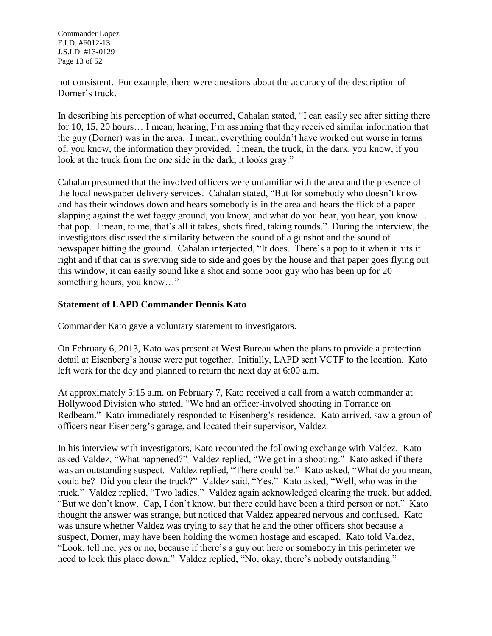Commander Lopez F.I.D. #F012-13 J.S.I.D. #13-0129 Page 13 of 52

not consistent. For example, there were questions about the accuracy of the description of Dorner's truck.

In describing his perception of what occurred, Cahalan stated, "I can easily see after sitting there for 10, 15, 20 hours… I mean, hearing, I'm assuming that they received similar information that the guy (Dorner) was in the area. I mean, everything couldn't have worked out worse in terms of, you know, the information they provided. I mean, the truck, in the dark, you know, if you look at the truck from the one side in the dark, it looks gray."

Cahalan presumed that the involved officers were unfamiliar with the area and the presence of the local newspaper delivery services. Cahalan stated, "But for somebody who doesn't know and has their windows down and hears somebody is in the area and hears the flick of a paper slapping against the wet foggy ground, you know, and what do you hear, you hear, you know… that pop. I mean, to me, that's all it takes, shots fired, taking rounds." During the interview, the investigators discussed the similarity between the sound of a gunshot and the sound of newspaper hitting the ground. Cahalan interjected, "It does. There's a pop to it when it hits it right and if that car is swerving side to side and goes by the house and that paper goes flying out this window, it can easily sound like a shot and some poor guy who has been up for 20 something hours, you know…"

#### **Statement of LAPD Commander Dennis Kato**

Commander Kato gave a voluntary statement to investigators.

On February 6, 2013, Kato was present at West Bureau when the plans to provide a protection detail at Eisenberg's house were put together. Initially, LAPD sent VCTF to the location. Kato left work for the day and planned to return the next day at 6:00 a.m.

At approximately 5:15 a.m. on February 7, Kato received a call from a watch commander at Hollywood Division who stated, "We had an officer-involved shooting in Torrance on Redbeam." Kato immediately responded to Eisenberg's residence. Kato arrived, saw a group of officers near Eisenberg's garage, and located their supervisor, Valdez.

In his interview with investigators, Kato recounted the following exchange with Valdez. Kato asked Valdez, "What happened?" Valdez replied, "We got in a shooting." Kato asked if there was an outstanding suspect. Valdez replied, "There could be." Kato asked, "What do you mean, could be? Did you clear the truck?" Valdez said, "Yes." Kato asked, "Well, who was in the truck." Valdez replied, "Two ladies." Valdez again acknowledged clearing the truck, but added, "But we don't know. Cap, I don't know, but there could have been a third person or not." Kato thought the answer was strange, but noticed that Valdez appeared nervous and confused. Kato was unsure whether Valdez was trying to say that he and the other officers shot because a suspect, Dorner, may have been holding the women hostage and escaped. Kato told Valdez, "Look, tell me, yes or no, because if there's a guy out here or somebody in this perimeter we need to lock this place down." Valdez replied, "No, okay, there's nobody outstanding."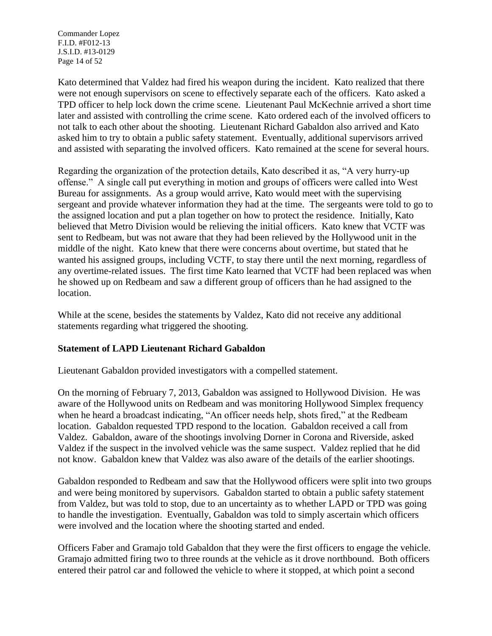Commander Lopez F.I.D. #F012-13 J.S.I.D. #13-0129 Page 14 of 52

Kato determined that Valdez had fired his weapon during the incident. Kato realized that there were not enough supervisors on scene to effectively separate each of the officers. Kato asked a TPD officer to help lock down the crime scene. Lieutenant Paul McKechnie arrived a short time later and assisted with controlling the crime scene. Kato ordered each of the involved officers to not talk to each other about the shooting. Lieutenant Richard Gabaldon also arrived and Kato asked him to try to obtain a public safety statement. Eventually, additional supervisors arrived and assisted with separating the involved officers. Kato remained at the scene for several hours.

Regarding the organization of the protection details, Kato described it as, "A very hurry-up offense." A single call put everything in motion and groups of officers were called into West Bureau for assignments. As a group would arrive, Kato would meet with the supervising sergeant and provide whatever information they had at the time. The sergeants were told to go to the assigned location and put a plan together on how to protect the residence. Initially, Kato believed that Metro Division would be relieving the initial officers. Kato knew that VCTF was sent to Redbeam, but was not aware that they had been relieved by the Hollywood unit in the middle of the night. Kato knew that there were concerns about overtime, but stated that he wanted his assigned groups, including VCTF, to stay there until the next morning, regardless of any overtime-related issues. The first time Kato learned that VCTF had been replaced was when he showed up on Redbeam and saw a different group of officers than he had assigned to the location.

While at the scene, besides the statements by Valdez, Kato did not receive any additional statements regarding what triggered the shooting.

## **Statement of LAPD Lieutenant Richard Gabaldon**

Lieutenant Gabaldon provided investigators with a compelled statement.

On the morning of February 7, 2013, Gabaldon was assigned to Hollywood Division. He was aware of the Hollywood units on Redbeam and was monitoring Hollywood Simplex frequency when he heard a broadcast indicating, "An officer needs help, shots fired," at the Redbeam location. Gabaldon requested TPD respond to the location. Gabaldon received a call from Valdez. Gabaldon, aware of the shootings involving Dorner in Corona and Riverside, asked Valdez if the suspect in the involved vehicle was the same suspect. Valdez replied that he did not know. Gabaldon knew that Valdez was also aware of the details of the earlier shootings.

Gabaldon responded to Redbeam and saw that the Hollywood officers were split into two groups and were being monitored by supervisors. Gabaldon started to obtain a public safety statement from Valdez, but was told to stop, due to an uncertainty as to whether LAPD or TPD was going to handle the investigation. Eventually, Gabaldon was told to simply ascertain which officers were involved and the location where the shooting started and ended.

Officers Faber and Gramajo told Gabaldon that they were the first officers to engage the vehicle. Gramajo admitted firing two to three rounds at the vehicle as it drove northbound. Both officers entered their patrol car and followed the vehicle to where it stopped, at which point a second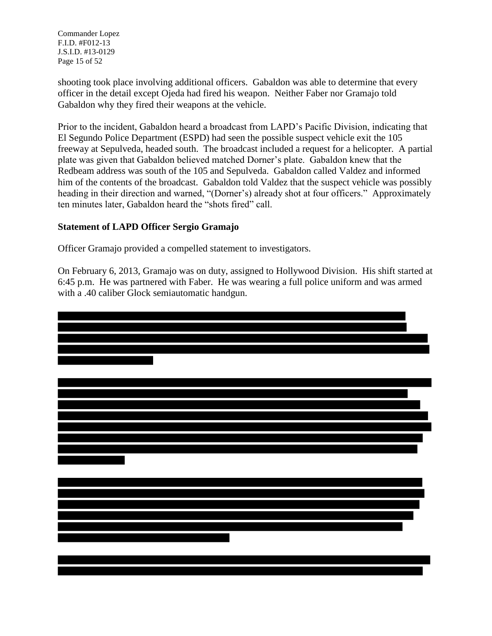Commander Lopez F.I.D. #F012-13 J.S.I.D. #13-0129 Page 15 of 52

shooting took place involving additional officers. Gabaldon was able to determine that every officer in the detail except Ojeda had fired his weapon. Neither Faber nor Gramajo told Gabaldon why they fired their weapons at the vehicle.

Prior to the incident, Gabaldon heard a broadcast from LAPD's Pacific Division, indicating that El Segundo Police Department (ESPD) had seen the possible suspect vehicle exit the 105 freeway at Sepulveda, headed south. The broadcast included a request for a helicopter. A partial plate was given that Gabaldon believed matched Dorner's plate. Gabaldon knew that the Redbeam address was south of the 105 and Sepulveda. Gabaldon called Valdez and informed him of the contents of the broadcast. Gabaldon told Valdez that the suspect vehicle was possibly heading in their direction and warned, "(Dorner's) already shot at four officers." Approximately ten minutes later, Gabaldon heard the "shots fired" call.

#### **Statement of LAPD Officer Sergio Gramajo**

Officer Gramajo provided a compelled statement to investigators.

On February 6, 2013, Gramajo was on duty, assigned to Hollywood Division. His shift started at 6:45 p.m. He was partnered with Faber. He was wearing a full police uniform and was armed with a .40 caliber Glock semiautomatic handgun.

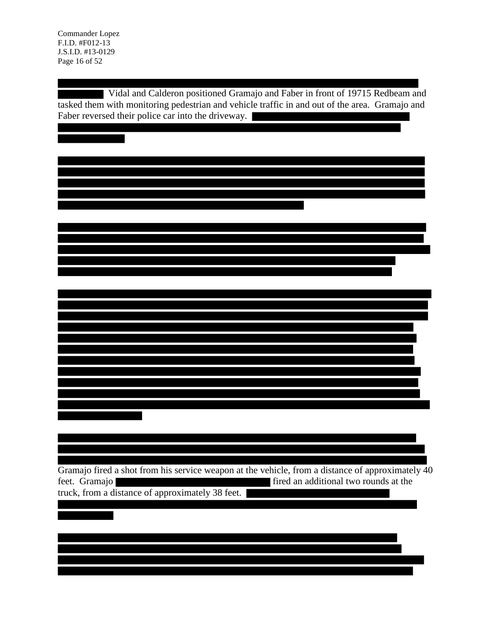Commander Lopez F.I.D. #F012-13 J.S.I.D. #13-0129 Page 16 of 52

| Vidal and Calderon positioned Gramajo and Faber in front of 19715 Redbeam and<br>tasked them with monitoring pedestrian and vehicle traffic in and out of the area. Gramajo and<br>Faber reversed their police car into the driveway. |
|---------------------------------------------------------------------------------------------------------------------------------------------------------------------------------------------------------------------------------------|
|                                                                                                                                                                                                                                       |
|                                                                                                                                                                                                                                       |
|                                                                                                                                                                                                                                       |
|                                                                                                                                                                                                                                       |
|                                                                                                                                                                                                                                       |
|                                                                                                                                                                                                                                       |
|                                                                                                                                                                                                                                       |
|                                                                                                                                                                                                                                       |
|                                                                                                                                                                                                                                       |
| Gramajo fired a shot from his service weapon at the vehicle, from a distance of approximately 40<br>fired an additional two rounds at the<br>feet. Gramajo<br>truck, from a distance of approximately 38 feet.                        |
|                                                                                                                                                                                                                                       |
|                                                                                                                                                                                                                                       |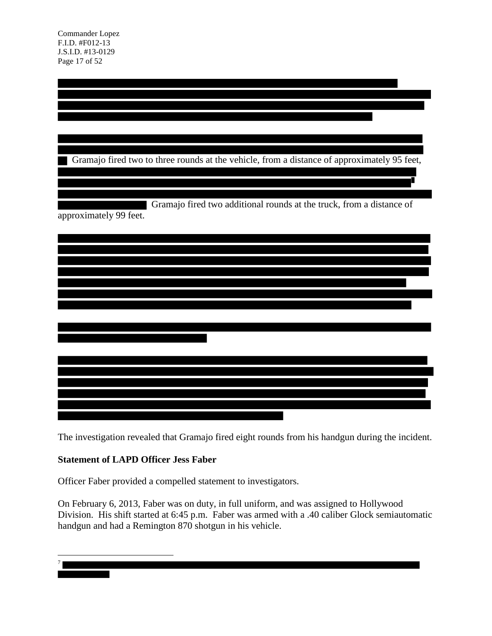| Gramajo fired two to three rounds at the vehicle, from a distance of approximately 95 feet,    |
|------------------------------------------------------------------------------------------------|
|                                                                                                |
|                                                                                                |
|                                                                                                |
| Gramajo fired two additional rounds at the truck, from a distance of<br>approximately 99 feet. |
|                                                                                                |
|                                                                                                |
|                                                                                                |
|                                                                                                |
|                                                                                                |
|                                                                                                |
|                                                                                                |
|                                                                                                |
|                                                                                                |
|                                                                                                |
|                                                                                                |
|                                                                                                |
|                                                                                                |
|                                                                                                |
|                                                                                                |
|                                                                                                |
|                                                                                                |

The investigation revealed that Gramajo fired eight rounds from his handgun during the incident.

## **Statement of LAPD Officer Jess Faber**

Officer Faber provided a compelled statement to investigators.

On February 6, 2013, Faber was on duty, in full uniform, and was assigned to Hollywood Division. His shift started at 6:45 p.m. Faber was armed with a .40 caliber Glock semiautomatic handgun and had a Remington 870 shotgun in his vehicle.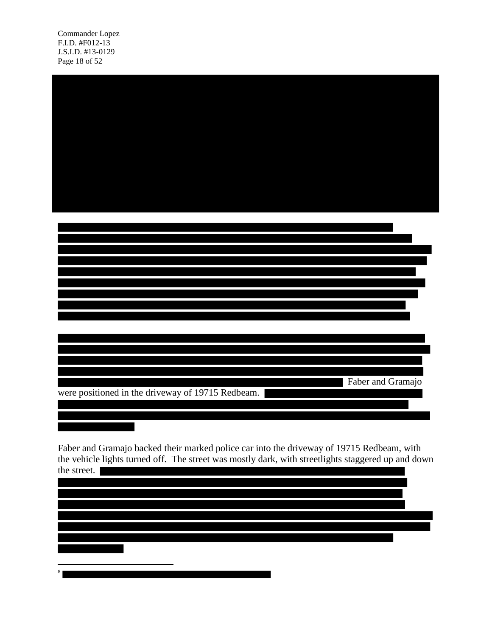Commander Lopez F.I.D. #F012-13 J.S.I.D. #13-0129 Page 18 of 52

| were positioned in the driveway of 19715 Redbeam. | Faber and Gramajo |
|---------------------------------------------------|-------------------|
|                                                   |                   |

Faber and Gramajo backed their marked police car into the driveway of 19715 Redbeam, with the vehicle lights turned off. The street was mostly dark, with streetlights staggered up and down the street.

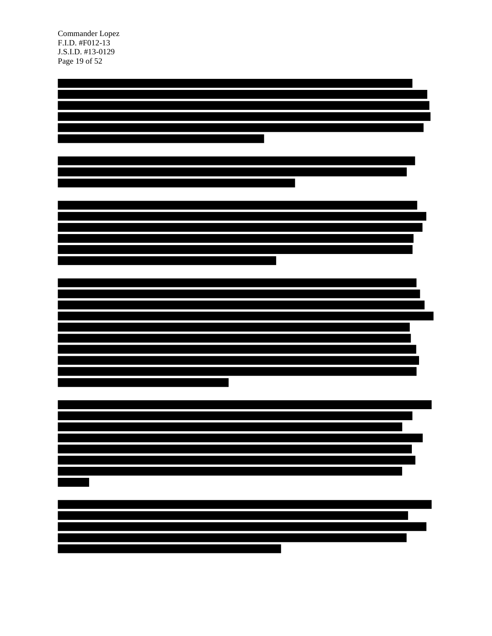Commander Lopez F.I.D. #F012-13 J.S.I.D. #13-0129 Page 19 of 52

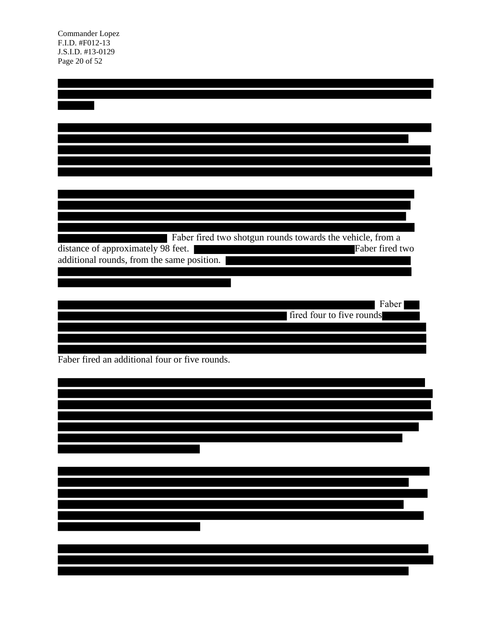Commander Lopez F.I.D. #F012-13 J.S.I.D. #13-0129 Page 20 of 52

| Faber fired two shotgun rounds towards the vehicle, from a<br>distance of approximately $\overline{98}$ feet.<br>Faber fired two |
|----------------------------------------------------------------------------------------------------------------------------------|
| additional rounds, from the same position.                                                                                       |
|                                                                                                                                  |
|                                                                                                                                  |
|                                                                                                                                  |
| Faber                                                                                                                            |
| fired four to five rounds                                                                                                        |
|                                                                                                                                  |
|                                                                                                                                  |
| Faber fired an additional four or five rounds.                                                                                   |
|                                                                                                                                  |
|                                                                                                                                  |
|                                                                                                                                  |
|                                                                                                                                  |
|                                                                                                                                  |
|                                                                                                                                  |
|                                                                                                                                  |
|                                                                                                                                  |
|                                                                                                                                  |
|                                                                                                                                  |
|                                                                                                                                  |
|                                                                                                                                  |
|                                                                                                                                  |
|                                                                                                                                  |
|                                                                                                                                  |
|                                                                                                                                  |
|                                                                                                                                  |
|                                                                                                                                  |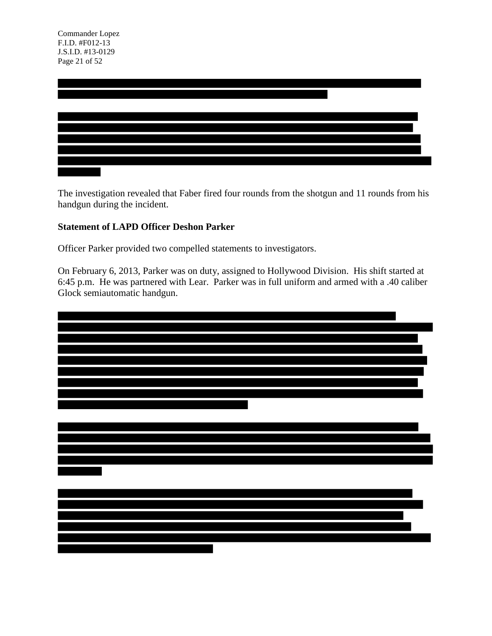Commander Lopez F.I.D. #F012-13 J.S.I.D. #13-0129 Page 21 of 52



The investigation revealed that Faber fired four rounds from the shotgun and 11 rounds from his handgun during the incident.

## **Statement of LAPD Officer Deshon Parker**

Officer Parker provided two compelled statements to investigators.

On February 6, 2013, Parker was on duty, assigned to Hollywood Division. His shift started at 6:45 p.m. He was partnered with Lear. Parker was in full uniform and armed with a .40 caliber Glock semiautomatic handgun.

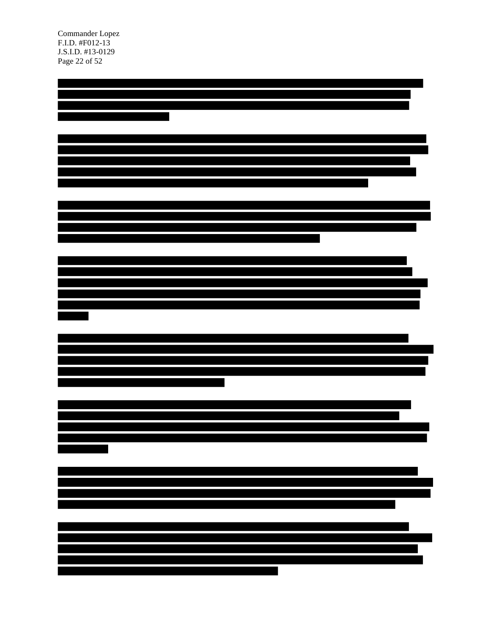Commander Lopez F.I.D. #F012-13 J.S.I.D. #13-0129 Page 22 of 52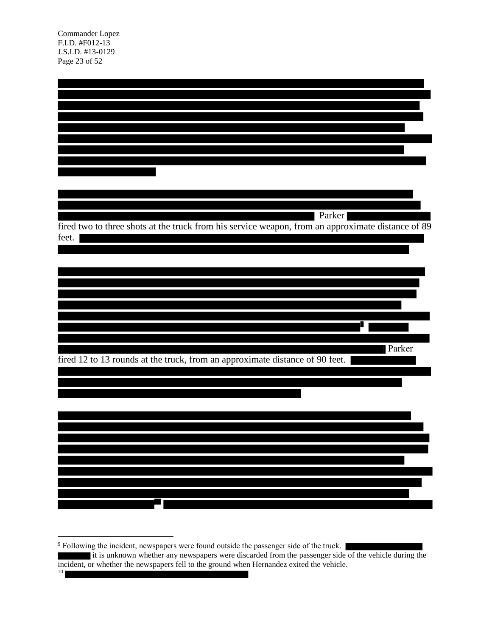Commander Lopez F.I.D. #F012-13 J.S.I.D. #13-0129 Page 23 of 52

|                                                                                                   | Parker |
|---------------------------------------------------------------------------------------------------|--------|
| fired two to three shots at the truck from his service weapon, from an approximate distance of 89 |        |
| feet.                                                                                             |        |
|                                                                                                   |        |
|                                                                                                   |        |
|                                                                                                   |        |
|                                                                                                   |        |
|                                                                                                   |        |
|                                                                                                   |        |
|                                                                                                   | Parker |
| fired 12 to 13 rounds at the truck, from an approximate distance of 90 feet.                      |        |
|                                                                                                   |        |
|                                                                                                   |        |
|                                                                                                   |        |
|                                                                                                   |        |
|                                                                                                   |        |
|                                                                                                   |        |
|                                                                                                   |        |
|                                                                                                   |        |
|                                                                                                   |        |

 $9$  Following the incident, newspapers were found outside the passenger side of the truck.

it is unknown whether any newspapers were discarded from the passenger side of the vehicle during the incident, or whether the newspapers fell to the ground when Hernandez exited the vehicle. Ξ

<sup>10</sup>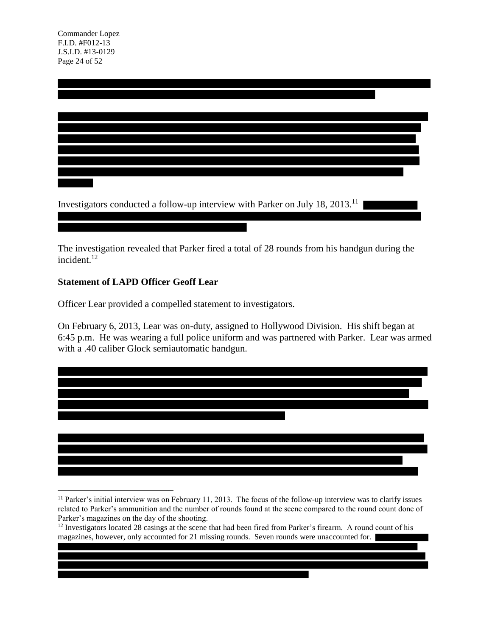Commander Lopez F.I.D. #F012-13 J.S.I.D. #13-0129 Page 24 of 52

 $\overline{a}$ 

| Investigators conducted a follow-up interview with Parker on July 18, 2013. <sup>11</sup> |
|-------------------------------------------------------------------------------------------|
|                                                                                           |
|                                                                                           |

The investigation revealed that Parker fired a total of 28 rounds from his handgun during the incident.<sup>12</sup>

#### **Statement of LAPD Officer Geoff Lear**

Officer Lear provided a compelled statement to investigators.

On February 6, 2013, Lear was on-duty, assigned to Hollywood Division. His shift began at 6:45 p.m. He was wearing a full police uniform and was partnered with Parker. Lear was armed with a .40 caliber Glock semiautomatic handgun.



<sup>&</sup>lt;sup>11</sup> Parker's initial interview was on February 11, 2013. The focus of the follow-up interview was to clarify issues related to Parker's ammunition and the number of rounds found at the scene compared to the round count done of Parker's magazines on the day of the shooting.

<sup>&</sup>lt;sup>12</sup> Investigators located 28 casings at the scene that had been fired from Parker's firearm. A round count of his magazines, however, only accounted for 21 missing rounds. Seven rounds were unaccounted for.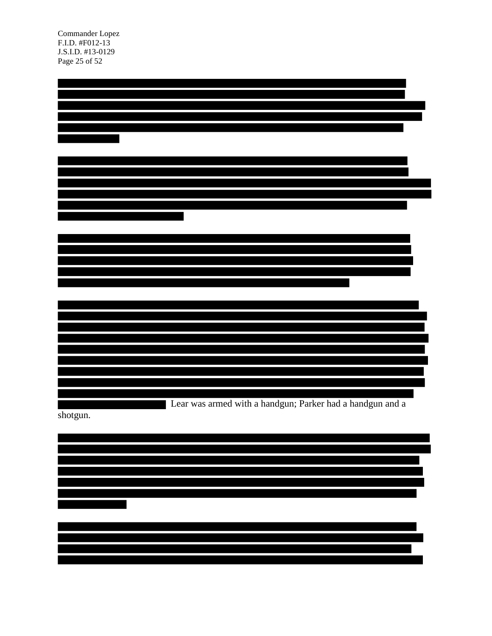Commander Lopez F.I.D. #F012-13 J.S.I.D. #13-0129 Page 25 of 52

|          | Lear was armed with a handgun; Parker had a handgun and a |
|----------|-----------------------------------------------------------|
| shotgun. |                                                           |
|          |                                                           |
|          |                                                           |
|          |                                                           |
|          |                                                           |
|          |                                                           |
|          |                                                           |
|          |                                                           |
|          |                                                           |
|          |                                                           |
|          |                                                           |
|          |                                                           |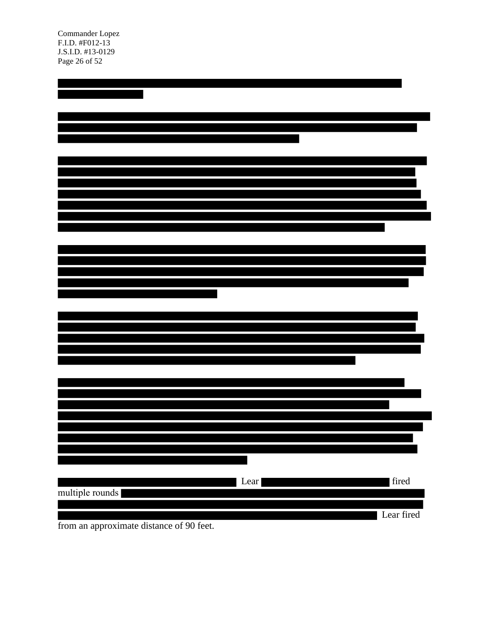Commander Lopez F.I.D. #F012-13 J.S.I.D. #13-0129 Page 26 of 52

|                                        | Lear | fired      |
|----------------------------------------|------|------------|
| multiple rounds                        |      |            |
|                                        |      |            |
| from an annoyimate distance of 00 feet |      | Lear fired |

۲

from an approximate distance of 90 feet.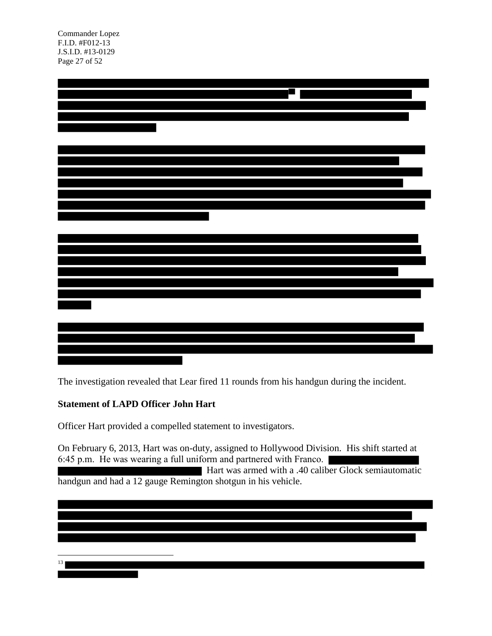Commander Lopez F.I.D. #F012-13 J.S.I.D. #13-0129 Page 27 of 52

The investigation revealed that Lear fired 11 rounds from his handgun during the incident.

## **Statement of LAPD Officer John Hart**

Officer Hart provided a compelled statement to investigators.

On February 6, 2013, Hart was on-duty, assigned to Hollywood Division. His shift started at 6:45 p.m. He was wearing a full uniform and partnered with Franco. Hart was armed with a .40 caliber Glock semiautomatic

 $\overline{\phantom{a}}$ 



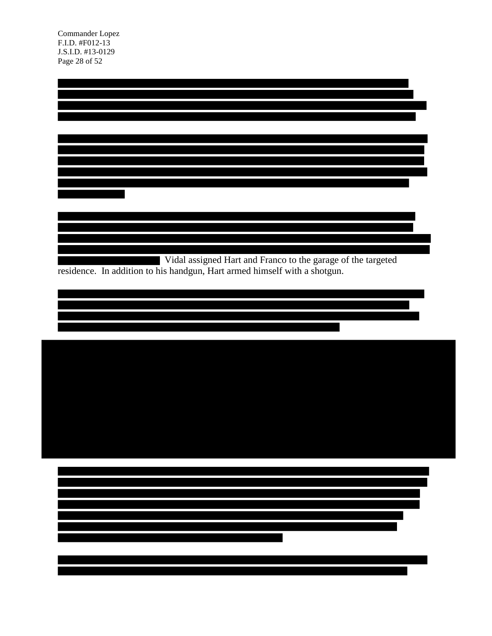Commander Lopez F.I.D. #F012-13 J.S.I.D. #13-0129 Page 28 of 52

| Vidal assigned Hart and Franco to the garage of the targeted              |
|---------------------------------------------------------------------------|
| residence. In addition to his handgun, Hart armed himself with a shotgun. |
|                                                                           |
|                                                                           |
|                                                                           |
|                                                                           |
|                                                                           |
|                                                                           |
|                                                                           |
|                                                                           |
|                                                                           |
|                                                                           |
|                                                                           |
|                                                                           |
|                                                                           |
|                                                                           |
|                                                                           |
|                                                                           |
|                                                                           |
|                                                                           |
|                                                                           |
|                                                                           |
|                                                                           |
|                                                                           |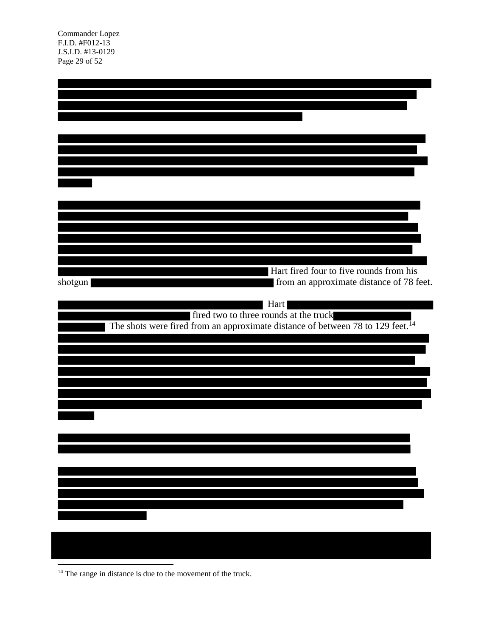Commander Lopez F.I.D. #F012-13 J.S.I.D. #13-0129 Page 29 of 52

|         | Hart fired four to five rounds from his                                                                                                                                                  |
|---------|------------------------------------------------------------------------------------------------------------------------------------------------------------------------------------------|
| shotgun | from an approximate distance of 78 feet.<br>Hart<br>fired two to three rounds at the truck<br>The shots were fired from an approximate distance of between 78 to 129 feet. <sup>14</sup> |
|         |                                                                                                                                                                                          |
|         |                                                                                                                                                                                          |
|         |                                                                                                                                                                                          |
|         |                                                                                                                                                                                          |
|         |                                                                                                                                                                                          |

 $14$  The range in distance is due to the movement of the truck.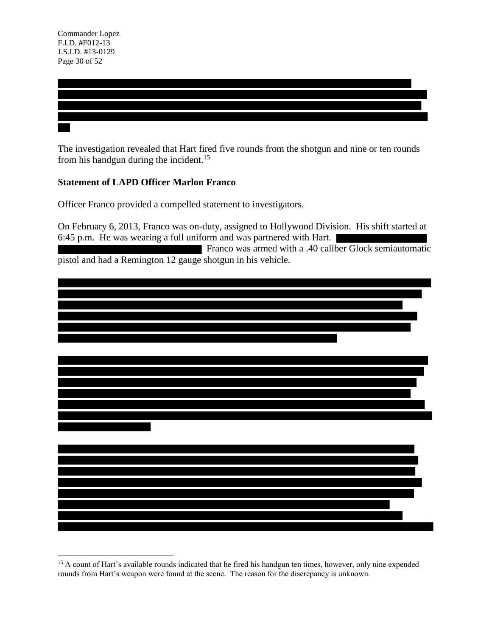$\overline{a}$ 

The investigation revealed that Hart fired five rounds from the shotgun and nine or ten rounds from his handgun during the incident.<sup>15</sup>

#### **Statement of LAPD Officer Marlon Franco**

Officer Franco provided a compelled statement to investigators.

On February 6, 2013, Franco was on-duty, assigned to Hollywood Division. His shift started at 6:45 p.m. He was wearing a full uniform and was partnered with Hart. Franco was armed with a .40 caliber Glock semiautomatic pistol and had a Remington 12 gauge shotgun in his vehicle.



<sup>&</sup>lt;sup>15</sup> A count of Hart's available rounds indicated that he fired his handgun ten times, however, only nine expended rounds from Hart's weapon were found at the scene. The reason for the discrepancy is unknown.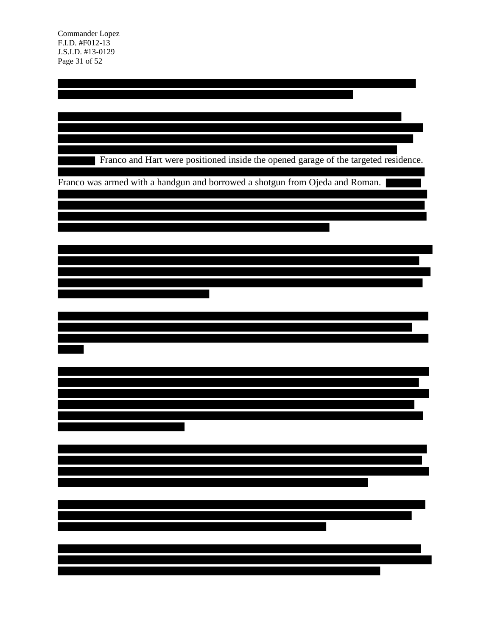Commander Lopez F.I.D. #F012-13 J.S.I.D. #13-0129 Page 31 of 52

| Franco and Hart were positioned inside the opened garage of the targeted residence. |
|-------------------------------------------------------------------------------------|
|                                                                                     |
| Franco was armed with a handgun and borrowed a shotgun from Ojeda and Roman.        |
|                                                                                     |
|                                                                                     |
|                                                                                     |
|                                                                                     |
|                                                                                     |
|                                                                                     |
|                                                                                     |
|                                                                                     |
|                                                                                     |
|                                                                                     |
|                                                                                     |
|                                                                                     |
|                                                                                     |
|                                                                                     |
|                                                                                     |
|                                                                                     |
|                                                                                     |
|                                                                                     |
|                                                                                     |
|                                                                                     |
|                                                                                     |
|                                                                                     |
|                                                                                     |
|                                                                                     |
|                                                                                     |
|                                                                                     |
|                                                                                     |

T,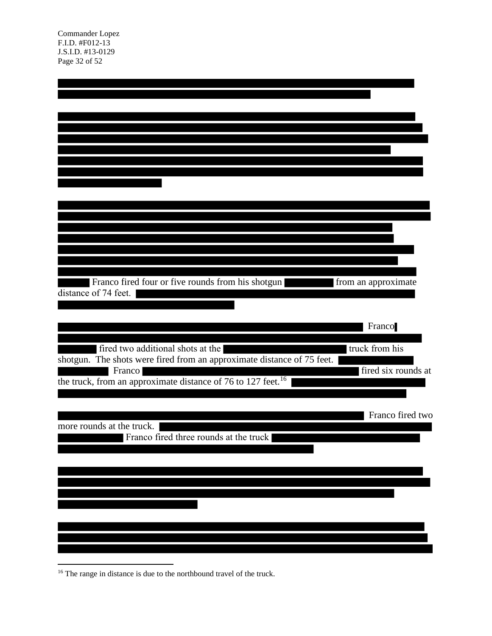Commander Lopez F.I.D. #F012-13 J.S.I.D. #13-0129 Page 32 of 52

| Franco fired four or five rounds from his shotgun<br>distance of 74 feet.          | from an approximate |
|------------------------------------------------------------------------------------|---------------------|
|                                                                                    |                     |
|                                                                                    | Franco              |
| fired two additional shots at the                                                  | truck from his      |
| shotgun. The shots were fired from an approximate distance of 75 feet.             |                     |
| Franco<br>the truck, from an approximate distance of 76 to 127 feet. <sup>16</sup> | fired six rounds at |
|                                                                                    |                     |
|                                                                                    | Franco fired two    |
| more rounds at the truck.                                                          |                     |
| Franco fired three rounds at the truck                                             |                     |
|                                                                                    |                     |
|                                                                                    |                     |
|                                                                                    |                     |
|                                                                                    |                     |
|                                                                                    |                     |
|                                                                                    |                     |

 $16$  The range in distance is due to the northbound travel of the truck.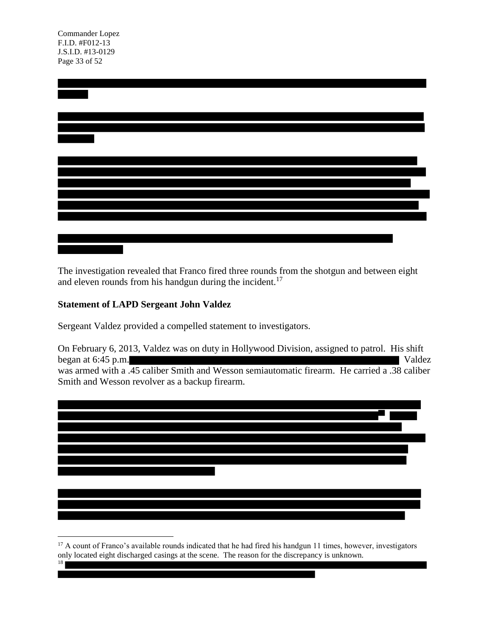The investigation revealed that Franco fired three rounds from the shotgun and between eight and eleven rounds from his handgun during the incident.<sup>17</sup>

# **Statement of LAPD Sergeant John Valdez**

Sergeant Valdez provided a compelled statement to investigators.

On February 6, 2013, Valdez was on duty in Hollywood Division, assigned to patrol. His shift began at 6:45 p.m. Valdez was armed with a .45 caliber Smith and Wesson semiautomatic firearm. He carried a .38 caliber Smith and Wesson revolver as a backup firearm.



 $\overline{a}$ <sup>17</sup> A count of Franco's available rounds indicated that he had fired his handgun 11 times, however, investigators only located eight discharged casings at the scene. The reason for the discrepancy is unknown. 18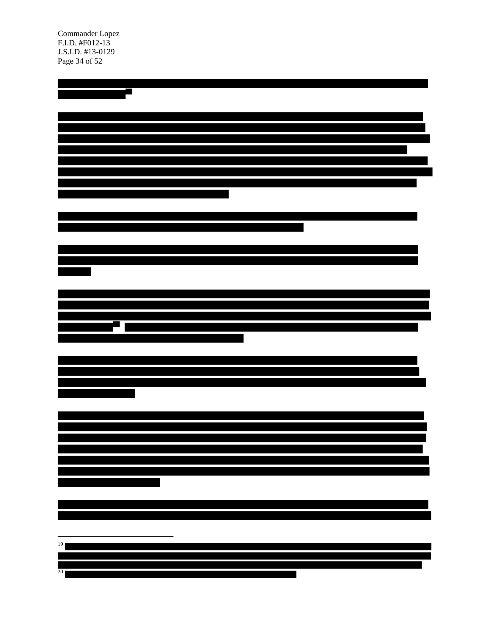Commander Lopez F.I.D. #F012-13 J.S.I.D. #13-0129 Page 34 of 52

| <u>a sa san</u> |  |
|-----------------|--|
|                 |  |
|                 |  |
|                 |  |
|                 |  |
|                 |  |
|                 |  |
|                 |  |
|                 |  |
|                 |  |
|                 |  |
|                 |  |
| $^{19}$         |  |
| 20 <sub>1</sub> |  |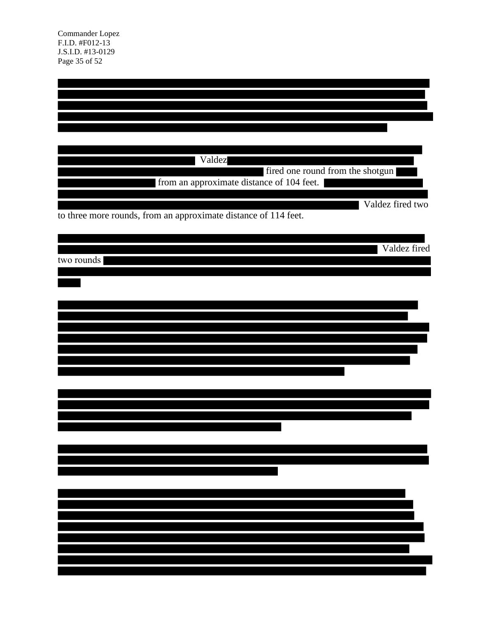Commander Lopez F.I.D. #F012-13 J.S.I.D. #13-0129 Page 35 of 52

| Valdez<br>fired one round from the shotgun                      |                  |
|-----------------------------------------------------------------|------------------|
| from an approximate distance of 104 feet.                       |                  |
|                                                                 |                  |
|                                                                 | Valdez fired two |
| to three more rounds, from an approximate distance of 114 feet. |                  |
|                                                                 |                  |
|                                                                 | Valdez fired     |
| two rounds                                                      |                  |
|                                                                 |                  |
|                                                                 |                  |
|                                                                 |                  |
|                                                                 |                  |
|                                                                 |                  |
|                                                                 |                  |
|                                                                 |                  |
|                                                                 |                  |
|                                                                 |                  |
|                                                                 |                  |
|                                                                 |                  |
|                                                                 |                  |
|                                                                 |                  |
|                                                                 |                  |
|                                                                 |                  |
|                                                                 |                  |
|                                                                 |                  |
|                                                                 |                  |
|                                                                 |                  |
|                                                                 |                  |
|                                                                 |                  |
|                                                                 |                  |
|                                                                 |                  |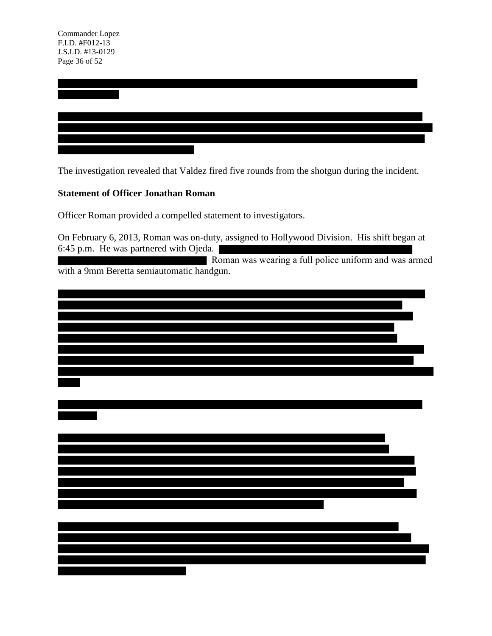Commander Lopez F.I.D. #F012-13 J.S.I.D. #13-0129 Page 36 of 52

The investigation revealed that Valdez fired five rounds from the shotgun during the incident.

#### **Statement of Officer Jonathan Roman**

Officer Roman provided a compelled statement to investigators.

On February 6, 2013, Roman was on-duty, assigned to Hollywood Division. His shift began at 6:45 p.m. He was partnered with Ojeda.

 Roman was wearing a full police uniform and was armed with a 9mm Beretta semiautomatic handgun.

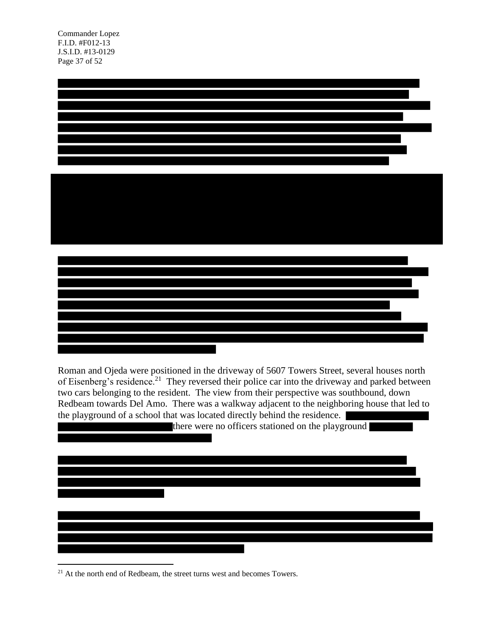Commander Lopez F.I.D. #F012-13 J.S.I.D. #13-0129 Page 37 of 52



Roman and Ojeda were positioned in the driveway of 5607 Towers Street, several houses north of Eisenberg's residence.<sup>21</sup> They reversed their police car into the driveway and parked between two cars belonging to the resident. The view from their perspective was southbound, down Redbeam towards Del Amo. There was a walkway adjacent to the neighboring house that led to the playground of a school that was located directly behind the residence.

 $\overline{\phantom{a}}$ 

there were no officers stationed on the playground

 $\overline{\phantom{a}}$ 

<sup>21</sup> At the north end of Redbeam, the street turns west and becomes Towers.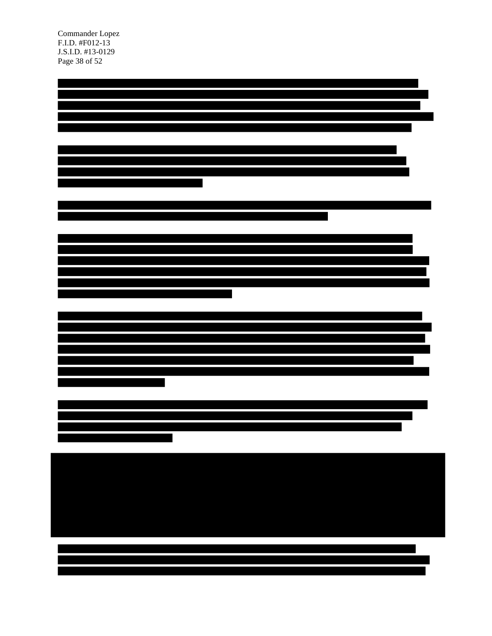Commander Lopez F.I.D. #F012-13 J.S.I.D. #13-0129 Page 38 of 52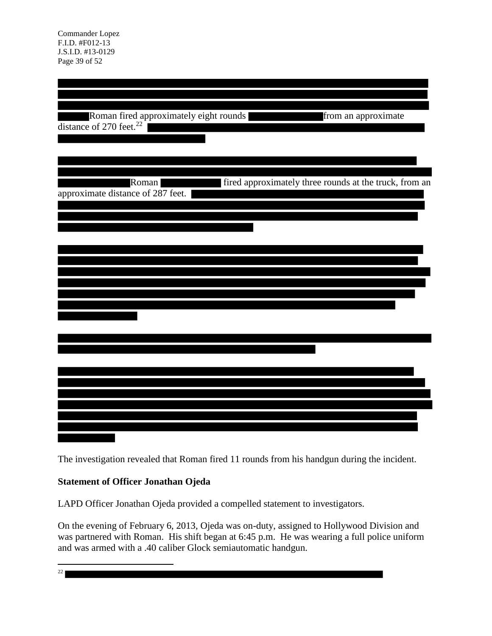Commander Lopez F.I.D. #F012-13 J.S.I.D. #13-0129 Page 39 of 52

| Roman fired approximately eight rounds | from an approximate                                    |
|----------------------------------------|--------------------------------------------------------|
| distance of 270 feet. $22$             |                                                        |
|                                        |                                                        |
|                                        |                                                        |
|                                        |                                                        |
|                                        |                                                        |
| Roman                                  | fired approximately three rounds at the truck, from an |
| approximate distance of 287 feet.      |                                                        |
|                                        |                                                        |
|                                        |                                                        |
|                                        |                                                        |
|                                        |                                                        |
|                                        |                                                        |
|                                        |                                                        |
|                                        |                                                        |
|                                        |                                                        |
|                                        |                                                        |
|                                        |                                                        |
|                                        |                                                        |
|                                        |                                                        |
|                                        |                                                        |
|                                        |                                                        |
|                                        |                                                        |
|                                        |                                                        |
|                                        |                                                        |
|                                        |                                                        |
|                                        |                                                        |
|                                        |                                                        |
|                                        |                                                        |

The investigation revealed that Roman fired 11 rounds from his handgun during the incident.

# **Statement of Officer Jonathan Ojeda**

LAPD Officer Jonathan Ojeda provided a compelled statement to investigators.

On the evening of February 6, 2013, Ojeda was on-duty, assigned to Hollywood Division and was partnered with Roman. His shift began at 6:45 p.m. He was wearing a full police uniform and was armed with a .40 caliber Glock semiautomatic handgun.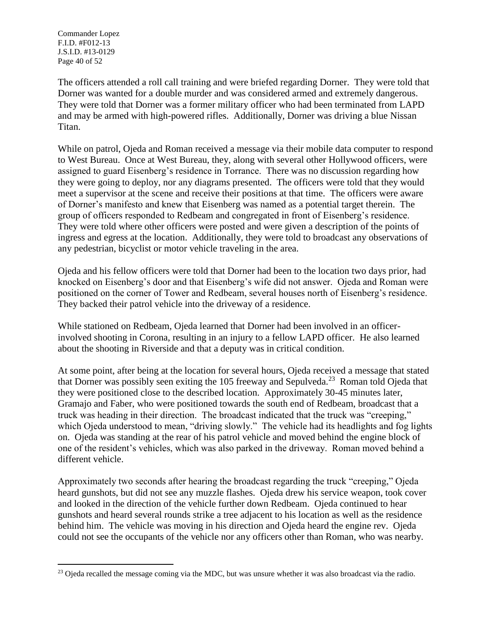Commander Lopez F.I.D. #F012-13 J.S.I.D. #13-0129 Page 40 of 52

 $\overline{a}$ 

The officers attended a roll call training and were briefed regarding Dorner. They were told that Dorner was wanted for a double murder and was considered armed and extremely dangerous. They were told that Dorner was a former military officer who had been terminated from LAPD and may be armed with high-powered rifles. Additionally, Dorner was driving a blue Nissan Titan.

While on patrol, Ojeda and Roman received a message via their mobile data computer to respond to West Bureau. Once at West Bureau, they, along with several other Hollywood officers, were assigned to guard Eisenberg's residence in Torrance. There was no discussion regarding how they were going to deploy, nor any diagrams presented. The officers were told that they would meet a supervisor at the scene and receive their positions at that time. The officers were aware of Dorner's manifesto and knew that Eisenberg was named as a potential target therein. The group of officers responded to Redbeam and congregated in front of Eisenberg's residence. They were told where other officers were posted and were given a description of the points of ingress and egress at the location. Additionally, they were told to broadcast any observations of any pedestrian, bicyclist or motor vehicle traveling in the area.

Ojeda and his fellow officers were told that Dorner had been to the location two days prior, had knocked on Eisenberg's door and that Eisenberg's wife did not answer. Ojeda and Roman were positioned on the corner of Tower and Redbeam, several houses north of Eisenberg's residence. They backed their patrol vehicle into the driveway of a residence.

While stationed on Redbeam, Ojeda learned that Dorner had been involved in an officerinvolved shooting in Corona, resulting in an injury to a fellow LAPD officer. He also learned about the shooting in Riverside and that a deputy was in critical condition.

At some point, after being at the location for several hours, Ojeda received a message that stated that Dorner was possibly seen exiting the 105 freeway and Sepulveda.<sup>23</sup> Roman told Ojeda that they were positioned close to the described location. Approximately 30-45 minutes later, Gramajo and Faber, who were positioned towards the south end of Redbeam, broadcast that a truck was heading in their direction. The broadcast indicated that the truck was "creeping," which Ojeda understood to mean, "driving slowly." The vehicle had its headlights and fog lights on. Ojeda was standing at the rear of his patrol vehicle and moved behind the engine block of one of the resident's vehicles, which was also parked in the driveway. Roman moved behind a different vehicle.

Approximately two seconds after hearing the broadcast regarding the truck "creeping," Ojeda heard gunshots, but did not see any muzzle flashes. Ojeda drew his service weapon, took cover and looked in the direction of the vehicle further down Redbeam. Ojeda continued to hear gunshots and heard several rounds strike a tree adjacent to his location as well as the residence behind him. The vehicle was moving in his direction and Ojeda heard the engine rev. Ojeda could not see the occupants of the vehicle nor any officers other than Roman, who was nearby.

<sup>&</sup>lt;sup>23</sup> Ojeda recalled the message coming via the MDC, but was unsure whether it was also broadcast via the radio.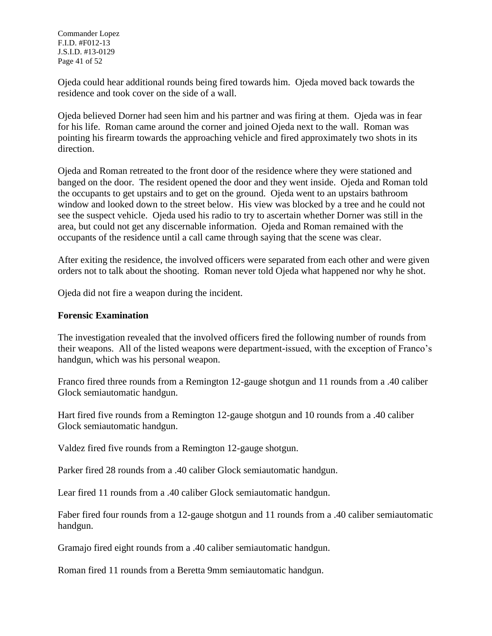Commander Lopez F.I.D. #F012-13 J.S.I.D. #13-0129 Page 41 of 52

Ojeda could hear additional rounds being fired towards him. Ojeda moved back towards the residence and took cover on the side of a wall.

Ojeda believed Dorner had seen him and his partner and was firing at them. Ojeda was in fear for his life. Roman came around the corner and joined Ojeda next to the wall. Roman was pointing his firearm towards the approaching vehicle and fired approximately two shots in its direction.

Ojeda and Roman retreated to the front door of the residence where they were stationed and banged on the door. The resident opened the door and they went inside. Ojeda and Roman told the occupants to get upstairs and to get on the ground. Ojeda went to an upstairs bathroom window and looked down to the street below. His view was blocked by a tree and he could not see the suspect vehicle. Ojeda used his radio to try to ascertain whether Dorner was still in the area, but could not get any discernable information. Ojeda and Roman remained with the occupants of the residence until a call came through saying that the scene was clear.

After exiting the residence, the involved officers were separated from each other and were given orders not to talk about the shooting. Roman never told Ojeda what happened nor why he shot.

Ojeda did not fire a weapon during the incident.

#### **Forensic Examination**

The investigation revealed that the involved officers fired the following number of rounds from their weapons. All of the listed weapons were department-issued, with the exception of Franco's handgun, which was his personal weapon.

Franco fired three rounds from a Remington 12-gauge shotgun and 11 rounds from a .40 caliber Glock semiautomatic handgun.

Hart fired five rounds from a Remington 12-gauge shotgun and 10 rounds from a .40 caliber Glock semiautomatic handgun.

Valdez fired five rounds from a Remington 12-gauge shotgun.

Parker fired 28 rounds from a .40 caliber Glock semiautomatic handgun.

Lear fired 11 rounds from a .40 caliber Glock semiautomatic handgun.

Faber fired four rounds from a 12-gauge shotgun and 11 rounds from a .40 caliber semiautomatic handgun.

Gramajo fired eight rounds from a .40 caliber semiautomatic handgun.

Roman fired 11 rounds from a Beretta 9mm semiautomatic handgun.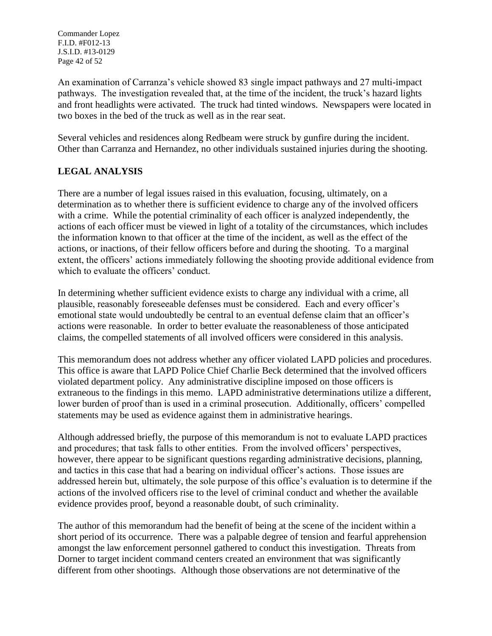Commander Lopez F.I.D. #F012-13 J.S.I.D. #13-0129 Page 42 of 52

An examination of Carranza's vehicle showed 83 single impact pathways and 27 multi-impact pathways. The investigation revealed that, at the time of the incident, the truck's hazard lights and front headlights were activated. The truck had tinted windows. Newspapers were located in two boxes in the bed of the truck as well as in the rear seat.

Several vehicles and residences along Redbeam were struck by gunfire during the incident. Other than Carranza and Hernandez, no other individuals sustained injuries during the shooting.

# **LEGAL ANALYSIS**

There are a number of legal issues raised in this evaluation, focusing, ultimately, on a determination as to whether there is sufficient evidence to charge any of the involved officers with a crime. While the potential criminality of each officer is analyzed independently, the actions of each officer must be viewed in light of a totality of the circumstances, which includes the information known to that officer at the time of the incident, as well as the effect of the actions, or inactions, of their fellow officers before and during the shooting. To a marginal extent, the officers' actions immediately following the shooting provide additional evidence from which to evaluate the officers' conduct.

In determining whether sufficient evidence exists to charge any individual with a crime, all plausible, reasonably foreseeable defenses must be considered. Each and every officer's emotional state would undoubtedly be central to an eventual defense claim that an officer's actions were reasonable. In order to better evaluate the reasonableness of those anticipated claims, the compelled statements of all involved officers were considered in this analysis.

This memorandum does not address whether any officer violated LAPD policies and procedures. This office is aware that LAPD Police Chief Charlie Beck determined that the involved officers violated department policy. Any administrative discipline imposed on those officers is extraneous to the findings in this memo. LAPD administrative determinations utilize a different, lower burden of proof than is used in a criminal prosecution. Additionally, officers' compelled statements may be used as evidence against them in administrative hearings.

Although addressed briefly, the purpose of this memorandum is not to evaluate LAPD practices and procedures; that task falls to other entities. From the involved officers' perspectives, however, there appear to be significant questions regarding administrative decisions, planning, and tactics in this case that had a bearing on individual officer's actions. Those issues are addressed herein but, ultimately, the sole purpose of this office's evaluation is to determine if the actions of the involved officers rise to the level of criminal conduct and whether the available evidence provides proof, beyond a reasonable doubt, of such criminality.

The author of this memorandum had the benefit of being at the scene of the incident within a short period of its occurrence. There was a palpable degree of tension and fearful apprehension amongst the law enforcement personnel gathered to conduct this investigation. Threats from Dorner to target incident command centers created an environment that was significantly different from other shootings. Although those observations are not determinative of the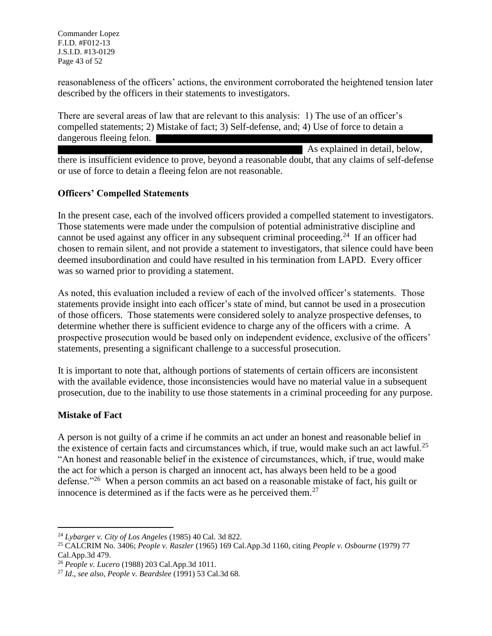Commander Lopez F.I.D. #F012-13 J.S.I.D. #13-0129 Page 43 of 52

reasonableness of the officers' actions, the environment corroborated the heightened tension later described by the officers in their statements to investigators.

There are several areas of law that are relevant to this analysis: 1) The use of an officer's compelled statements; 2) Mistake of fact; 3) Self-defense, and; 4) Use of force to detain a dangerous fleeing felon.

 As explained in detail, below, there is insufficient evidence to prove, beyond a reasonable doubt, that any claims of self-defense or use of force to detain a fleeing felon are not reasonable.

## **Officers' Compelled Statements**

In the present case, each of the involved officers provided a compelled statement to investigators. Those statements were made under the compulsion of potential administrative discipline and cannot be used against any officer in any subsequent criminal proceeding.<sup>24</sup> If an officer had chosen to remain silent, and not provide a statement to investigators, that silence could have been deemed insubordination and could have resulted in his termination from LAPD. Every officer was so warned prior to providing a statement.

As noted, this evaluation included a review of each of the involved officer's statements. Those statements provide insight into each officer's state of mind, but cannot be used in a prosecution of those officers. Those statements were considered solely to analyze prospective defenses, to determine whether there is sufficient evidence to charge any of the officers with a crime. A prospective prosecution would be based only on independent evidence, exclusive of the officers' statements, presenting a significant challenge to a successful prosecution.

It is important to note that, although portions of statements of certain officers are inconsistent with the available evidence, those inconsistencies would have no material value in a subsequent prosecution, due to the inability to use those statements in a criminal proceeding for any purpose.

## **Mistake of Fact**

A person is not guilty of a crime if he commits an act under an honest and reasonable belief in the existence of certain facts and circumstances which, if true, would make such an act lawful.<sup>25</sup> "An honest and reasonable belief in the existence of circumstances, which, if true, would make the act for which a person is charged an innocent act, has always been held to be a good defense."<sup>26</sup> When a person commits an act based on a reasonable mistake of fact, his guilt or innocence is determined as if the facts were as he perceived them.<sup>27</sup>

 $\overline{a}$ <sup>24</sup> *Lybarger v. City of Los Angeles* (1985) 40 Cal. 3d 822.

<sup>25</sup> CALCRIM No. 3406; *People v. Raszler* (1965) 169 Cal.App.3d 1160, citing *People v. Osbourne* (1979) 77 Cal.App.3d 479.

<sup>26</sup> *People v. Lucero* (1988) 203 Cal.App.3d 1011.

<sup>27</sup> *Id*., *see also, People v. Beardslee* (1991) 53 Cal.3d 68*.*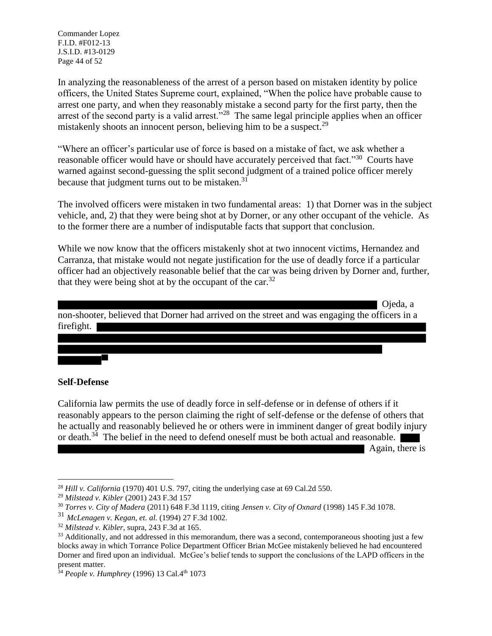Commander Lopez F.I.D. #F012-13 J.S.I.D. #13-0129 Page 44 of 52

In analyzing the reasonableness of the arrest of a person based on mistaken identity by police officers, the United States Supreme court, explained, "When the police have probable cause to arrest one party, and when they reasonably mistake a second party for the first party, then the arrest of the second party is a valid arrest.<sup> $28$ </sup> The same legal principle applies when an officer mistakenly shoots an innocent person, believing him to be a suspect.<sup>29</sup>

"Where an officer's particular use of force is based on a mistake of fact, we ask whether a reasonable officer would have or should have accurately perceived that fact."<sup>30</sup> Courts have warned against second-guessing the split second judgment of a trained police officer merely because that judgment turns out to be mistaken.<sup>31</sup>

The involved officers were mistaken in two fundamental areas: 1) that Dorner was in the subject vehicle, and, 2) that they were being shot at by Dorner, or any other occupant of the vehicle. As to the former there are a number of indisputable facts that support that conclusion.

While we now know that the officers mistakenly shot at two innocent victims, Hernandez and Carranza, that mistake would not negate justification for the use of deadly force if a particular officer had an objectively reasonable belief that the car was being driven by Dorner and, further, that they were being shot at by the occupant of the car.<sup>32</sup>



#### **Self-Defense**

 $\overline{a}$ 

California law permits the use of deadly force in self-defense or in defense of others if it reasonably appears to the person claiming the right of self-defense or the defense of others that he actually and reasonably believed he or others were in imminent danger of great bodily injury or death.<sup>34</sup> The belief in the need to defend oneself must be both actual and reasonable.

Again, there is

<sup>&</sup>lt;sup>28</sup> *Hill v. California* (1970) 401 U.S. 797, citing the underlying case at 69 Cal.2d 550.

<sup>29</sup> *Milstead v. Kibler* (2001) 243 F.3d 157

<sup>30</sup> *Torres v. City of Madera* (2011) 648 F.3d 1119, citing *Jensen v. City of Oxnard* (1998) 145 F.3d 1078.

<sup>31</sup> *McLenagen v. Kegan, et. al.* (1994) 27 F.3d 1002.

<sup>32</sup> *Milstead v. Kibler*, supra, 243 F.3d at 165.

<sup>&</sup>lt;sup>33</sup> Additionally, and not addressed in this memorandum, there was a second, contemporaneous shooting just a few blocks away in which Torrance Police Department Officer Brian McGee mistakenly believed he had encountered Dorner and fired upon an individual. McGee's belief tends to support the conclusions of the LAPD officers in the present matter.

<sup>34</sup> *People v. Humphrey* (1996) 13 Cal.4th 1073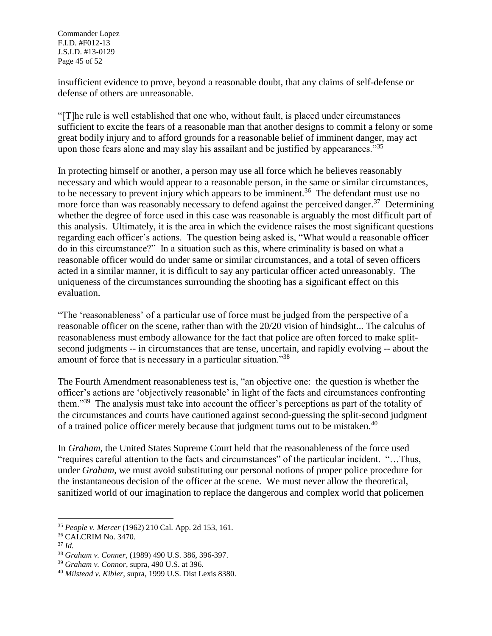Commander Lopez F.I.D. #F012-13 J.S.I.D. #13-0129 Page 45 of 52

insufficient evidence to prove, beyond a reasonable doubt, that any claims of self-defense or defense of others are unreasonable.

"[T]he rule is well established that one who, without fault, is placed under circumstances sufficient to excite the fears of a reasonable man that another designs to commit a felony or some great bodily injury and to afford grounds for a reasonable belief of imminent danger, may act upon those fears alone and may slay his assailant and be justified by appearances."<sup>35</sup>

In protecting himself or another, a person may use all force which he believes reasonably necessary and which would appear to a reasonable person, in the same or similar circumstances, to be necessary to prevent injury which appears to be imminent.<sup>36</sup> The defendant must use no more force than was reasonably necessary to defend against the perceived danger.<sup>37</sup> Determining whether the degree of force used in this case was reasonable is arguably the most difficult part of this analysis. Ultimately, it is the area in which the evidence raises the most significant questions regarding each officer's actions. The question being asked is, "What would a reasonable officer do in this circumstance?" In a situation such as this, where criminality is based on what a reasonable officer would do under same or similar circumstances, and a total of seven officers acted in a similar manner, it is difficult to say any particular officer acted unreasonably. The uniqueness of the circumstances surrounding the shooting has a significant effect on this evaluation.

"The 'reasonableness' of a particular use of force must be judged from the perspective of a reasonable officer on the scene, rather than with the 20/20 vision of hindsight... The calculus of reasonableness must embody allowance for the fact that police are often forced to make splitsecond judgments -- in circumstances that are tense, uncertain, and rapidly evolving -- about the amount of force that is necessary in a particular situation."<sup>38</sup>

The Fourth Amendment reasonableness test is, "an objective one: the question is whether the officer's actions are 'objectively reasonable' in light of the facts and circumstances confronting them."<sup>39</sup> The analysis must take into account the officer's perceptions as part of the totality of the circumstances and courts have cautioned against second-guessing the split-second judgment of a trained police officer merely because that judgment turns out to be mistaken.<sup>40</sup>

In *Graham*, the United States Supreme Court held that the reasonableness of the force used "requires careful attention to the facts and circumstances" of the particular incident. "…Thus, under *Graham*, we must avoid substituting our personal notions of proper police procedure for the instantaneous decision of the officer at the scene. We must never allow the theoretical, sanitized world of our imagination to replace the dangerous and complex world that policemen

<sup>35</sup> *People v. Mercer* (1962) 210 Cal. App. 2d 153, 161.

<sup>36</sup> CALCRIM No. 3470.

<sup>37</sup> *Id.*

<sup>38</sup> *Graham v. Conner*, (1989) 490 U.S. 386, 396-397.

<sup>39</sup> *Graham v. Connor*, supra, 490 U.S. at 396.

<sup>40</sup> *Milstead v. Kibler*, supra, 1999 U.S. Dist Lexis 8380.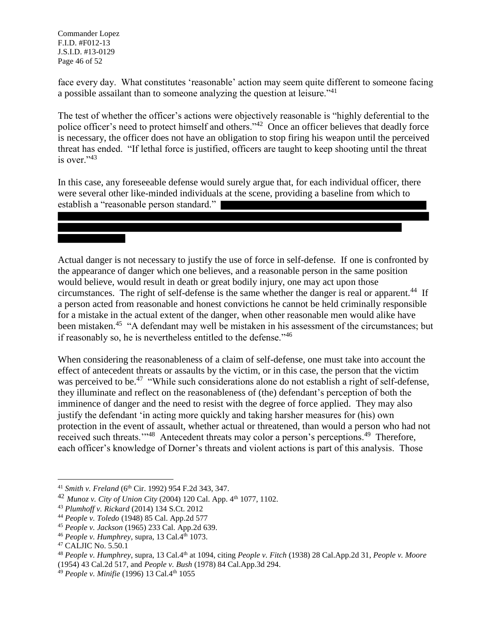Commander Lopez F.I.D. #F012-13 J.S.I.D. #13-0129 Page 46 of 52

face every day. What constitutes 'reasonable' action may seem quite different to someone facing a possible assailant than to someone analyzing the question at leisure."<sup>41</sup>

The test of whether the officer's actions were objectively reasonable is "highly deferential to the police officer's need to protect himself and others."<sup>42</sup> Once an officer believes that deadly force is necessary, the officer does not have an obligation to stop firing his weapon until the perceived threat has ended. "If lethal force is justified, officers are taught to keep shooting until the threat is over."<sup>43</sup>

In this case, any foreseeable defense would surely argue that, for each individual officer, there were several other like-minded individuals at the scene, providing a baseline from which to establish a "reasonable person standard."

Actual danger is not necessary to justify the use of force in self-defense. If one is confronted by the appearance of danger which one believes, and a reasonable person in the same position would believe, would result in death or great bodily injury, one may act upon those circumstances. The right of self-defense is the same whether the danger is real or apparent.<sup>44</sup> If a person acted from reasonable and honest convictions he cannot be held criminally responsible for a mistake in the actual extent of the danger, when other reasonable men would alike have been mistaken.<sup>45</sup> "A defendant may well be mistaken in his assessment of the circumstances; but if reasonably so, he is nevertheless entitled to the defense."<sup>46</sup>

When considering the reasonableness of a claim of self-defense, one must take into account the effect of antecedent threats or assaults by the victim, or in this case, the person that the victim was perceived to be.<sup>47</sup> "While such considerations alone do not establish a right of self-defense, they illuminate and reflect on the reasonableness of (the) defendant's perception of both the imminence of danger and the need to resist with the degree of force applied. They may also justify the defendant 'in acting more quickly and taking harsher measures for (his) own protection in the event of assault, whether actual or threatened, than would a person who had not received such threats."<sup>48</sup> Antecedent threats may color a person's perceptions.<sup>49</sup> Therefore, each officer's knowledge of Dorner's threats and violent actions is part of this analysis. Those

<sup>&</sup>lt;sup>41</sup> *Smith v. Freland* (6<sup>th</sup> Cir. 1992) 954 F.2d 343, 347.

<sup>&</sup>lt;sup>42</sup> *Munoz v. City of Union City* (2004) 120 Cal. App. 4<sup>th</sup> 1077, 1102.

<sup>43</sup> *Plumhoff v. Rickard* (2014) 134 S.Ct. 2012

<sup>44</sup> *People v. Toledo* (1948) 85 Cal. App.2d 577

<sup>45</sup> *People v. Jackson* (1965) 233 Cal. App.2d 639.

<sup>46</sup> *People v. Humphrey*, supra, 13 Cal.4th 1073.

<sup>47</sup> CALJIC No. 5.50.1

<sup>48</sup> *People v. Humphrey*, supra, 13 Cal.4th at 1094, citing *People v. Fitch* (1938) 28 Cal.App.2d 31, *People v. Moore* (1954) 43 Cal.2d 517, and *People v. Bush* (1978) 84 Cal.App.3d 294.

<sup>49</sup> *People v. Minifie* (1996) 13 Cal.4th 1055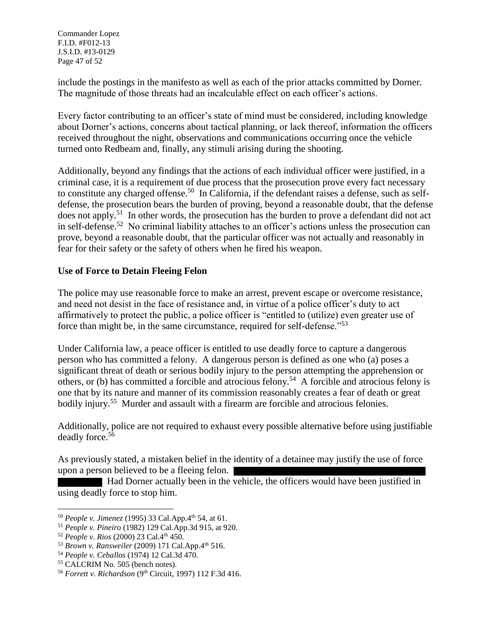Commander Lopez F.I.D. #F012-13 J.S.I.D. #13-0129 Page 47 of 52

include the postings in the manifesto as well as each of the prior attacks committed by Dorner. The magnitude of those threats had an incalculable effect on each officer's actions.

Every factor contributing to an officer's state of mind must be considered, including knowledge about Dorner's actions, concerns about tactical planning, or lack thereof, information the officers received throughout the night, observations and communications occurring once the vehicle turned onto Redbeam and, finally, any stimuli arising during the shooting.

Additionally, beyond any findings that the actions of each individual officer were justified, in a criminal case, it is a requirement of due process that the prosecution prove every fact necessary to constitute any charged offense.<sup>50</sup> In California, if the defendant raises a defense, such as selfdefense, the prosecution bears the burden of proving, beyond a reasonable doubt, that the defense does not apply.<sup>51</sup> In other words, the prosecution has the burden to prove a defendant did not act in self-defense.<sup>52</sup> No criminal liability attaches to an officer's actions unless the prosecution can prove, beyond a reasonable doubt, that the particular officer was not actually and reasonably in fear for their safety or the safety of others when he fired his weapon.

#### **Use of Force to Detain Fleeing Felon**

The police may use reasonable force to make an arrest, prevent escape or overcome resistance, and need not desist in the face of resistance and, in virtue of a police officer's duty to act affirmatively to protect the public, a police officer is "entitled to (utilize) even greater use of force than might be, in the same circumstance, required for self-defense."<sup>53</sup>

Under California law, a peace officer is entitled to use deadly force to capture a dangerous person who has committed a felony. A dangerous person is defined as one who (a) poses a significant threat of death or serious bodily injury to the person attempting the apprehension or others, or (b) has committed a forcible and atrocious felony.<sup>54</sup> A forcible and atrocious felony is one that by its nature and manner of its commission reasonably creates a fear of death or great bodily injury.<sup>55</sup> Murder and assault with a firearm are forcible and atrocious felonies.

Additionally, police are not required to exhaust every possible alternative before using justifiable deadly force.<sup>56</sup>

As previously stated, a mistaken belief in the identity of a detainee may justify the use of force upon a person believed to be a fleeing felon.

 Had Dorner actually been in the vehicle, the officers would have been justified in using deadly force to stop him.

<sup>50</sup> *People v. Jimenez* (1995) 33 Cal.App.4th 54, at 61.

<sup>51</sup> *People v. Pineiro* (1982) 129 Cal.App.3d 915, at 920.

<sup>52</sup> *People v. Rios* (2000) 23 Cal.4th 450.

<sup>53</sup> *Brown v. Ransweiler* (2009) 171 Cal.App.4th 516.

<sup>54</sup> *People v. Ceballos* (1974) 12 Cal.3d 470.

<sup>55</sup> CALCRIM No. 505 (bench notes).

<sup>56</sup> *Forrett v. Richardson* (9th Circuit, 1997) 112 F.3d 416.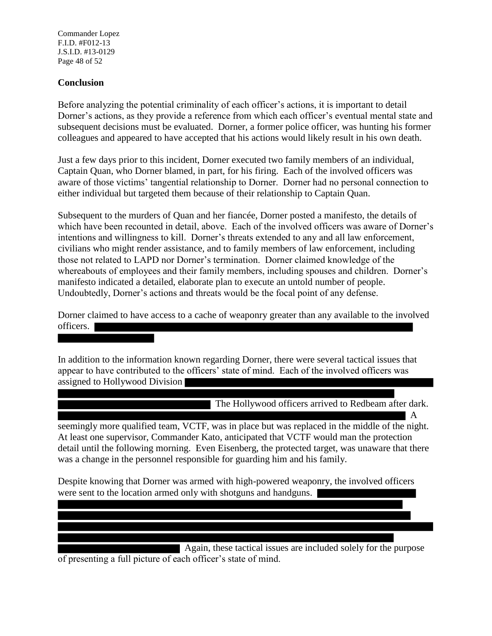Commander Lopez F.I.D. #F012-13 J.S.I.D. #13-0129 Page 48 of 52

#### **Conclusion**

Before analyzing the potential criminality of each officer's actions, it is important to detail Dorner's actions, as they provide a reference from which each officer's eventual mental state and subsequent decisions must be evaluated. Dorner, a former police officer, was hunting his former colleagues and appeared to have accepted that his actions would likely result in his own death.

Just a few days prior to this incident, Dorner executed two family members of an individual, Captain Quan, who Dorner blamed, in part, for his firing. Each of the involved officers was aware of those victims' tangential relationship to Dorner. Dorner had no personal connection to either individual but targeted them because of their relationship to Captain Quan.

Subsequent to the murders of Quan and her fiancée, Dorner posted a manifesto, the details of which have been recounted in detail, above. Each of the involved officers was aware of Dorner's intentions and willingness to kill. Dorner's threats extended to any and all law enforcement, civilians who might render assistance, and to family members of law enforcement, including those not related to LAPD nor Dorner's termination. Dorner claimed knowledge of the whereabouts of employees and their family members, including spouses and children. Dorner's manifesto indicated a detailed, elaborate plan to execute an untold number of people. Undoubtedly, Dorner's actions and threats would be the focal point of any defense.

Dorner claimed to have access to a cache of weaponry greater than any available to the involved officers.

In addition to the information known regarding Dorner, there were several tactical issues that appear to have contributed to the officers' state of mind. Each of the involved officers was assigned to Hollywood Division

The Hollywood officers arrived to Redbeam after dark.

A

seemingly more qualified team, VCTF, was in place but was replaced in the middle of the night. At least one supervisor, Commander Kato, anticipated that VCTF would man the protection detail until the following morning. Even Eisenberg, the protected target, was unaware that there was a change in the personnel responsible for guarding him and his family.

Despite knowing that Dorner was armed with high-powered weaponry, the involved officers were sent to the location armed only with shotguns and handguns.

 Again, these tactical issues are included solely for the purpose of presenting a full picture of each officer's state of mind.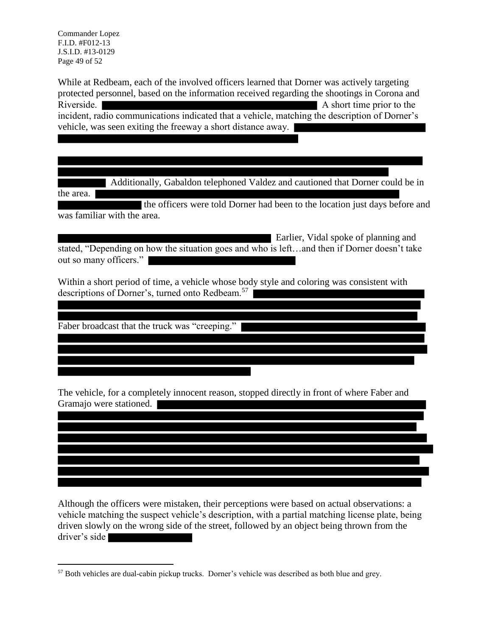Commander Lopez F.I.D. #F012-13 J.S.I.D. #13-0129 Page 49 of 52

 $\overline{a}$ 

While at Redbeam, each of the involved officers learned that Dorner was actively targeting protected personnel, based on the information received regarding the shootings in Corona and Riverside. A short time prior to the Riverside. incident, radio communications indicated that a vehicle, matching the description of Dorner's vehicle, was seen exiting the freeway a short distance away.

 Additionally, Gabaldon telephoned Valdez and cautioned that Dorner could be in the area.

 the officers were told Dorner had been to the location just days before and was familiar with the area.

 Earlier, Vidal spoke of planning and stated, "Depending on how the situation goes and who is left…and then if Dorner doesn't take out so many officers."

Within a short period of time, a vehicle whose body style and coloring was consistent with descriptions of Dorner's, turned onto Redbeam.<sup>57</sup>

Faber broadcast that the truck was "creeping."

The vehicle, for a completely innocent reason, stopped directly in front of where Faber and Gramajo were stationed.

Although the officers were mistaken, their perceptions were based on actual observations: a vehicle matching the suspect vehicle's description, with a partial matching license plate, being driven slowly on the wrong side of the street, followed by an object being thrown from the driver's side

<sup>57</sup> Both vehicles are dual-cabin pickup trucks. Dorner's vehicle was described as both blue and grey.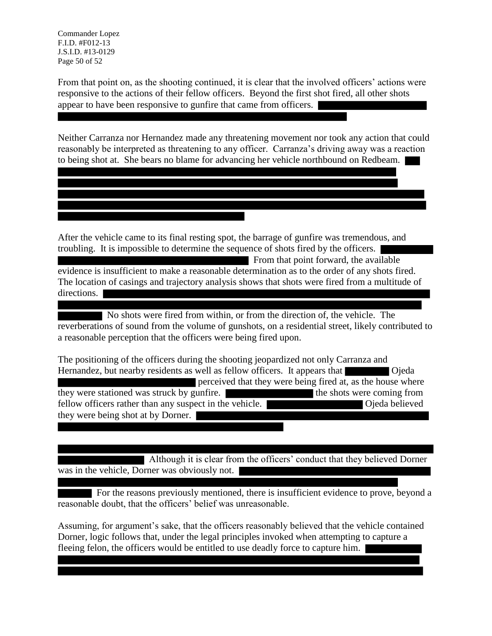Commander Lopez F.I.D. #F012-13 J.S.I.D. #13-0129 Page 50 of 52

From that point on, as the shooting continued, it is clear that the involved officers' actions were responsive to the actions of their fellow officers. Beyond the first shot fired, all other shots appear to have been responsive to gunfire that came from officers.

Neither Carranza nor Hernandez made any threatening movement nor took any action that could reasonably be interpreted as threatening to any officer. Carranza's driving away was a reaction to being shot at. She bears no blame for advancing her vehicle northbound on Redbeam.

 $\overline{\phantom{a}}$ 

After the vehicle came to its final resting spot, the barrage of gunfire was tremendous, and troubling. It is impossible to determine the sequence of shots fired by the officers. From that point forward, the available evidence is insufficient to make a reasonable determination as to the order of any shots fired. The location of casings and trajectory analysis shows that shots were fired from a multitude of directions.  $\blacksquare$ 

 No shots were fired from within, or from the direction of, the vehicle. The reverberations of sound from the volume of gunshots, on a residential street, likely contributed to a reasonable perception that the officers were being fired upon.

The positioning of the officers during the shooting jeopardized not only Carranza and Hernandez, but nearby residents as well as fellow officers. It appears that Ojeda perceived that they were being fired at, as the house where they were stationed was struck by gunfire. The shots were coming from fellow officers rather than any suspect in the vehicle. <br>
Ojeda believed they were being shot at by Dorner.

 Although it is clear from the officers' conduct that they believed Dorner was in the vehicle, Dorner was obviously not.

 For the reasons previously mentioned, there is insufficient evidence to prove, beyond a reasonable doubt, that the officers' belief was unreasonable.

Assuming, for argument's sake, that the officers reasonably believed that the vehicle contained Dorner, logic follows that, under the legal principles invoked when attempting to capture a fleeing felon, the officers would be entitled to use deadly force to capture him.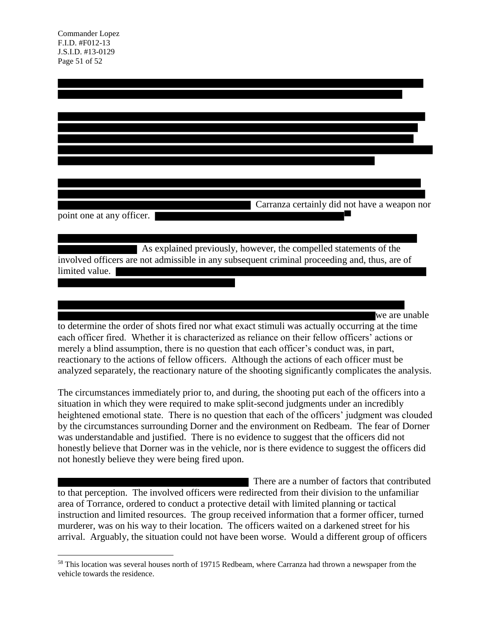Commander Lopez F.I.D. #F012-13 J.S.I.D. #13-0129 Page 51 of 52

|                                                                                                                | Carranza certainly did not have a weapon nor                      |
|----------------------------------------------------------------------------------------------------------------|-------------------------------------------------------------------|
| point one at any officer.                                                                                      |                                                                   |
|                                                                                                                |                                                                   |
|                                                                                                                |                                                                   |
|                                                                                                                | As explained previously, however, the compelled statements of the |
| involved officers are not admissible in any subsequent criminal proceeding and, thus, are of<br>limited value. |                                                                   |
|                                                                                                                |                                                                   |
|                                                                                                                |                                                                   |
|                                                                                                                |                                                                   |
|                                                                                                                | we are unable                                                     |
| to determine the order of shots fired nor what exact stimuli was actually occurring at the time                |                                                                   |
| each officer fired. Whether it is characterized as reliance on their fellow officers' actions or               |                                                                   |
| merely a blind assumption, there is no question that each officer's conduct was, in part,                      |                                                                   |
| reactionary to the actions of fellow officers. Although the actions of each officer must be                    |                                                                   |
| analyzed separately, the reactionary nature of the shooting significantly complicates the analysis.            |                                                                   |
|                                                                                                                |                                                                   |
| The circumstances immediately prior to, and during, the shooting put each of the officers into a               |                                                                   |
| situation in which they were required to make split-second judgments under an incredibly                       |                                                                   |
| heightened emotional state. There is no question that each of the officers' judgment was clouded               |                                                                   |
| by the circumstances surrounding Dorner and the environment on Redbeam. The fear of Dorner                     |                                                                   |
|                                                                                                                |                                                                   |

not honestly believe they were being fired upon. There are a number of factors that contributed to that perception. The involved officers were redirected from their division to the unfamiliar area of Torrance, ordered to conduct a protective detail with limited planning or tactical instruction and limited resources. The group received information that a former officer, turned murderer, was on his way to their location. The officers waited on a darkened street for his

arrival. Arguably, the situation could not have been worse. Would a different group of officers

honestly believe that Dorner was in the vehicle, nor is there evidence to suggest the officers did

 $\overline{a}$ <sup>58</sup> This location was several houses north of 19715 Redbeam, where Carranza had thrown a newspaper from the vehicle towards the residence.